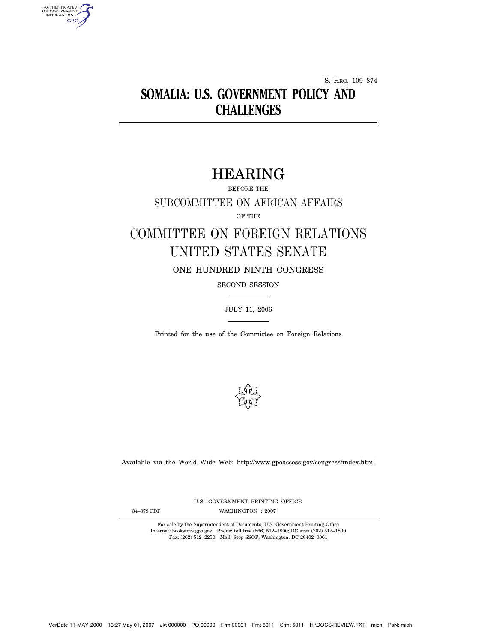S. HRG. 109–874

# **SOMALIA: U.S. GOVERNMENT POLICY AND CHALLENGES**

# HEARING

BEFORE THE

SUBCOMMITTEE ON AFRICAN AFFAIRS OF THE

# COMMITTEE ON FOREIGN RELATIONS UNITED STATES SENATE

ONE HUNDRED NINTH CONGRESS

SECOND SESSION

JULY 11, 2006

Printed for the use of the Committee on Foreign Relations



Available via the World Wide Web: http://www.gpoaccess.gov/congress/index.html

U.S. GOVERNMENT PRINTING OFFICE

AUTHENTICATED<br>U.S. GOVERNMENT<br>INFORMATION GPO

34-879 PDF WASHINGTON : 2007

For sale by the Superintendent of Documents, U.S. Government Printing Office Internet: bookstore.gpo.gov Phone: toll free (866) 512–1800; DC area (202) 512–1800 Fax: (202) 512–2250 Mail: Stop SSOP, Washington, DC 20402–0001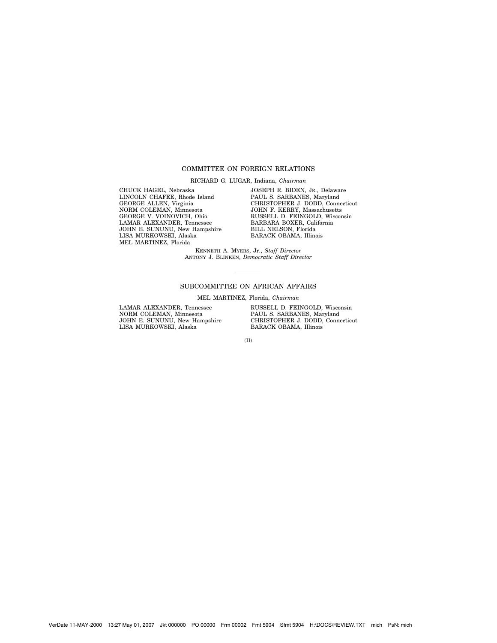# COMMITTEE ON FOREIGN RELATIONS

RICHARD G. LUGAR, Indiana, *Chairman*

CHUCK HAGEL, Nebraska LINCOLN CHAFEE, Rhode Island GEORGE ALLEN, Virginia NORM COLEMAN, Minnesota GEORGE V. VOINOVICH, Ohio LAMAR ALEXANDER, Tennessee JOHN E. SUNUNU, New Hampshire LISA MURKOWSKI, Alaska MEL MARTINEZ, Florida

JOSEPH R. BIDEN, JR., Delaware PAUL S. SARBANES, Maryland CHRISTOPHER J. DODD, Connecticut JOHN F. KERRY, Massachusetts RUSSELL D. FEINGOLD, Wisconsin BARBARA BOXER, California BILL NELSON, Florida BARACK OBAMA, Illinois

KENNETH A. MYERS, Jr., *Staff Director* ANTONY J. BLINKEN, *Democratic Staff Director*

# SUBCOMMITTEE ON AFRICAN AFFAIRS

MEL MARTINEZ, Florida, *Chairman*

LAMAR ALEXANDER, Tennessee NORM COLEMAN, Minnesota JOHN E. SUNUNU, New Hampshire LISA MURKOWSKI, Alaska

RUSSELL D. FEINGOLD, Wisconsin PAUL S. SARBANES, Maryland CHRISTOPHER J. DODD, Connecticut BARACK OBAMA, Illinois

(II)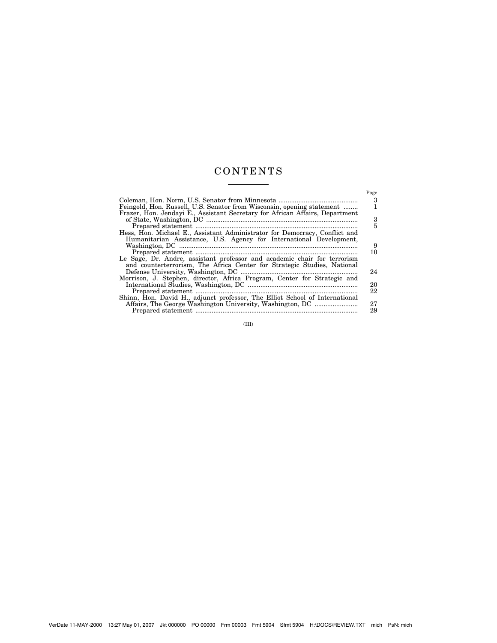# CONTENTS  $\begin{tabular}{l} \multicolumn{2}{c} {\textbf{1}} & \multicolumn{2}{c} {\textbf{1}} & \multicolumn{2}{c} {\textbf{1}} \\ \multicolumn{2}{c} {\textbf{2}} & \multicolumn{2}{c} {\textbf{3}} & \multicolumn{2}{c} {\textbf{4}} \\ \multicolumn{2}{c} {\textbf{4}} & \multicolumn{2}{c} {\textbf{5}} & \multicolumn{2}{c} {\textbf{6}} \\ \multicolumn{2}{c} {\textbf{5}} & \multicolumn{2}{c} {\textbf{6}} & \multicolumn{2}{c} {\textbf{6}} \\ \multicolumn{2}{c} {\textbf{6}} & \multicolumn$

|                                                                              | Page |
|------------------------------------------------------------------------------|------|
|                                                                              | 3    |
| Feingold, Hon. Russell, U.S. Senator from Wisconsin, opening statement       |      |
| Frazer, Hon. Jendayi E., Assistant Secretary for African Affairs, Department |      |
|                                                                              | 3    |
|                                                                              | 5    |
| Hess, Hon. Michael E., Assistant Administrator for Democracy, Conflict and   |      |
| Humanitarian Assistance, U.S. Agency for International Development,          |      |
|                                                                              | 9    |
|                                                                              | 10   |
| Le Sage, Dr. Andre, assistant professor and academic chair for terrorism     |      |
| and counterterrorism, The Africa Center for Strategic Studies, National      |      |
|                                                                              | 24   |
| Morrison, J. Stephen, director, Africa Program, Center for Strategic and     |      |
|                                                                              | 20   |
|                                                                              | 22   |
| Shinn, Hon. David H., adjunct professor, The Elliot School of International  |      |
|                                                                              | 27   |
|                                                                              | 29   |

(III)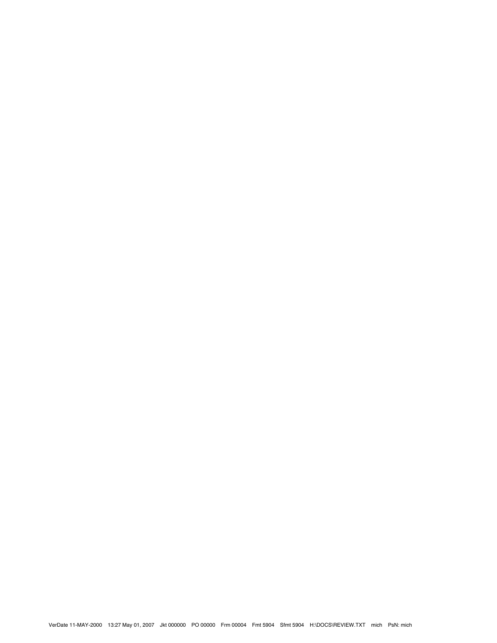VerDate 11-MAY-2000 13:27 May 01, 2007 Jkt 000000 PO 00000 Frm 00004 Fmt 5904 Sfmt 5904 H:\DOCS\REVIEW.TXT mich PsN: mich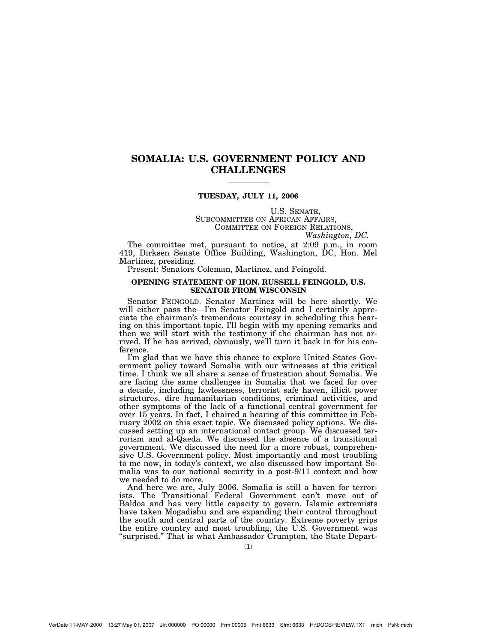# **SOMALIA: U.S. GOVERNMENT POLICY AND CHALLENGES**

# **TUESDAY, JULY 11, 2006**

# U.S. SENATE,<br>SUBCOMMITTEE ON AFRICAN AFFAIRS,<br>COMMITTEE ON FOREIGN RELATIONS,<br>*Washington, DC*.

The committee met, pursuant to notice, at 2:09 p.m., in room 419, Dirksen Senate Office Building, Washington, DC, Hon. Mel Martinez, presiding.

Present: Senators Coleman, Martinez, and Feingold.

# **OPENING STATEMENT OF HON. RUSSELL FEINGOLD, U.S. SENATOR FROM WISCONSIN**

Senator FEINGOLD. Senator Martinez will be here shortly. We will either pass the—I'm Senator Feingold and I certainly appreciate the chairman's tremendous courtesy in scheduling this hearing on this important topic. I'll begin with my opening remarks and then we will start with the testimony if the chairman has not arrived. If he has arrived, obviously, we'll turn it back in for his conference.

I'm glad that we have this chance to explore United States Government policy toward Somalia with our witnesses at this critical time. I think we all share a sense of frustration about Somalia. We are facing the same challenges in Somalia that we faced for over a decade, including lawlessness, terrorist safe haven, illicit power structures, dire humanitarian conditions, criminal activities, and other symptoms of the lack of a functional central government for over 15 years. In fact, I chaired a hearing of this committee in February 2002 on this exact topic. We discussed policy options. We discussed setting up an international contact group. We discussed terrorism and al-Qaeda. We discussed the absence of a transitional government. We discussed the need for a more robust, comprehensive U.S. Government policy. Most importantly and most troubling to me now, in today's context, we also discussed how important Somalia was to our national security in a post-9/11 context and how we needed to do more.

And here we are, July 2006. Somalia is still a haven for terrorists. The Transitional Federal Government can't move out of Baldoa and has very little capacity to govern. Islamic extremists have taken Mogadishu and are expanding their control throughout the south and central parts of the country. Extreme poverty grips the entire country and most troubling, the U.S. Government was ''surprised.'' That is what Ambassador Crumpton, the State Depart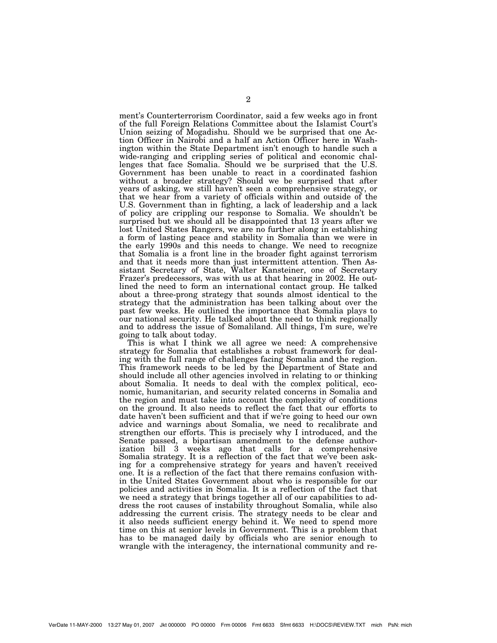ment's Counterterrorism Coordinator, said a few weeks ago in front of the full Foreign Relations Committee about the Islamist Court's Union seizing of Mogadishu. Should we be surprised that one Action Officer in Nairobi and a half an Action Officer here in Washington within the State Department isn't enough to handle such a wide-ranging and crippling series of political and economic challenges that face Somalia. Should we be surprised that the U.S. Government has been unable to react in a coordinated fashion without a broader strategy? Should we be surprised that after years of asking, we still haven't seen a comprehensive strategy, or that we hear from a variety of officials within and outside of the U.S. Government than in fighting, a lack of leadership and a lack of policy are crippling our response to Somalia. We shouldn't be surprised but we should all be disappointed that 13 years after we lost United States Rangers, we are no further along in establishing a form of lasting peace and stability in Somalia than we were in the early 1990s and this needs to change. We need to recognize that Somalia is a front line in the broader fight against terrorism and that it needs more than just intermittent attention. Then Assistant Secretary of State, Walter Kansteiner, one of Secretary Frazer's predecessors, was with us at that hearing in 2002. He outlined the need to form an international contact group. He talked about a three-prong strategy that sounds almost identical to the strategy that the administration has been talking about over the past few weeks. He outlined the importance that Somalia plays to our national security. He talked about the need to think regionally and to address the issue of Somaliland. All things, I'm sure, we're going to talk about today.

This is what I think we all agree we need: A comprehensive strategy for Somalia that establishes a robust framework for dealing with the full range of challenges facing Somalia and the region. This framework needs to be led by the Department of State and should include all other agencies involved in relating to or thinking about Somalia. It needs to deal with the complex political, economic, humanitarian, and security related concerns in Somalia and the region and must take into account the complexity of conditions on the ground. It also needs to reflect the fact that our efforts to date haven't been sufficient and that if we're going to heed our own advice and warnings about Somalia, we need to recalibrate and strengthen our efforts. This is precisely why I introduced, and the Senate passed, a bipartisan amendment to the defense authorization bill 3 weeks ago that calls for a comprehensive Somalia strategy. It is a reflection of the fact that we've been asking for a comprehensive strategy for years and haven't received one. It is a reflection of the fact that there remains confusion within the United States Government about who is responsible for our policies and activities in Somalia. It is a reflection of the fact that we need a strategy that brings together all of our capabilities to address the root causes of instability throughout Somalia, while also addressing the current crisis. The strategy needs to be clear and it also needs sufficient energy behind it. We need to spend more time on this at senior levels in Government. This is a problem that has to be managed daily by officials who are senior enough to wrangle with the interagency, the international community and re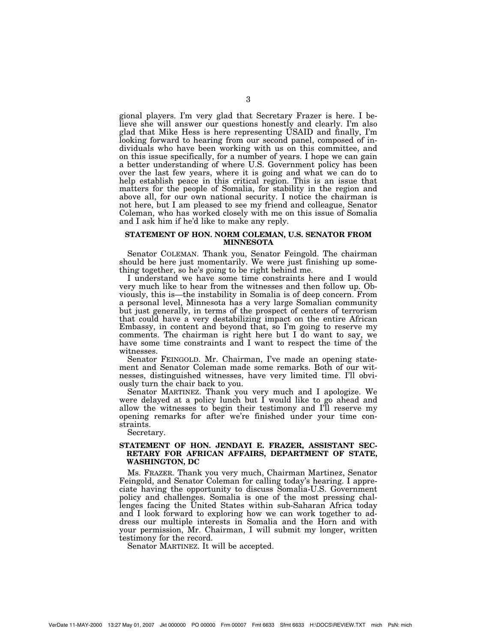gional players. I'm very glad that Secretary Frazer is here. I believe she will answer our questions honestly and clearly. I'm also glad that Mike Hess is here representing USAID and finally, I'm looking forward to hearing from our second panel, composed of individuals who have been working with us on this committee, and on this issue specifically, for a number of years. I hope we can gain a better understanding of where U.S. Government policy has been over the last few years, where it is going and what we can do to help establish peace in this critical region. This is an issue that matters for the people of Somalia, for stability in the region and above all, for our own national security. I notice the chairman is not here, but I am pleased to see my friend and colleague, Senator Coleman, who has worked closely with me on this issue of Somalia and I ask him if he'd like to make any reply.

# **STATEMENT OF HON. NORM COLEMAN, U.S. SENATOR FROM MINNESOTA**

Senator COLEMAN. Thank you, Senator Feingold. The chairman should be here just momentarily. We were just finishing up something together, so he's going to be right behind me.

I understand we have some time constraints here and I would very much like to hear from the witnesses and then follow up. Obviously, this is—the instability in Somalia is of deep concern. From a personal level, Minnesota has a very large Somalian community but just generally, in terms of the prospect of centers of terrorism that could have a very destabilizing impact on the entire African Embassy, in content and beyond that, so I'm going to reserve my comments. The chairman is right here but I do want to say, we have some time constraints and I want to respect the time of the witnesses.

Senator FEINGOLD. Mr. Chairman, I've made an opening statement and Senator Coleman made some remarks. Both of our witnesses, distinguished witnesses, have very limited time. I'll obviously turn the chair back to you.

Senator MARTINEZ. Thank you very much and I apologize. We were delayed at a policy lunch but I would like to go ahead and allow the witnesses to begin their testimony and I'll reserve my opening remarks for after we're finished under your time constraints.

Secretary.

# **STATEMENT OF HON. JENDAYI E. FRAZER, ASSISTANT SEC-RETARY FOR AFRICAN AFFAIRS, DEPARTMENT OF STATE, WASHINGTON, DC**

Ms. FRAZER. Thank you very much, Chairman Martinez, Senator Feingold, and Senator Coleman for calling today's hearing. I appreciate having the opportunity to discuss Somalia-U.S. Government policy and challenges. Somalia is one of the most pressing challenges facing the United States within sub-Saharan Africa today and I look forward to exploring how we can work together to address our multiple interests in Somalia and the Horn and with your permission, Mr. Chairman, I will submit my longer, written testimony for the record.

Senator MARTINEZ. It will be accepted.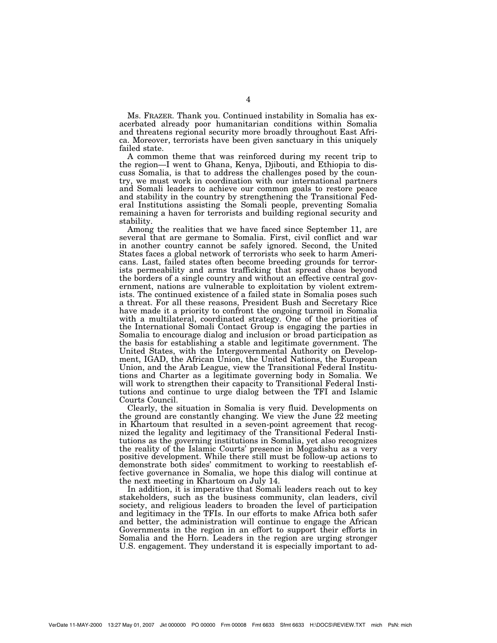Ms. FRAZER. Thank you. Continued instability in Somalia has exacerbated already poor humanitarian conditions within Somalia and threatens regional security more broadly throughout East Africa. Moreover, terrorists have been given sanctuary in this uniquely failed state.

A common theme that was reinforced during my recent trip to the region—I went to Ghana, Kenya, Djibouti, and Ethiopia to discuss Somalia, is that to address the challenges posed by the country, we must work in coordination with our international partners and Somali leaders to achieve our common goals to restore peace and stability in the country by strengthening the Transitional Federal Institutions assisting the Somali people, preventing Somalia remaining a haven for terrorists and building regional security and stability.

Among the realities that we have faced since September 11, are several that are germane to Somalia. First, civil conflict and war in another country cannot be safely ignored. Second, the United States faces a global network of terrorists who seek to harm Americans. Last, failed states often become breeding grounds for terrorists permeability and arms trafficking that spread chaos beyond the borders of a single country and without an effective central government, nations are vulnerable to exploitation by violent extremists. The continued existence of a failed state in Somalia poses such a threat. For all these reasons, President Bush and Secretary Rice have made it a priority to confront the ongoing turmoil in Somalia with a multilateral, coordinated strategy. One of the priorities of the International Somali Contact Group is engaging the parties in Somalia to encourage dialog and inclusion or broad participation as the basis for establishing a stable and legitimate government. The United States, with the Intergovernmental Authority on Development, IGAD, the African Union, the United Nations, the European Union, and the Arab League, view the Transitional Federal Institutions and Charter as a legitimate governing body in Somalia. We will work to strengthen their capacity to Transitional Federal Institutions and continue to urge dialog between the TFI and Islamic Courts Council.

Clearly, the situation in Somalia is very fluid. Developments on the ground are constantly changing. We view the June 22 meeting in Khartoum that resulted in a seven-point agreement that recognized the legality and legitimacy of the Transitional Federal Institutions as the governing institutions in Somalia, yet also recognizes the reality of the Islamic Courts' presence in Mogadishu as a very positive development. While there still must be follow-up actions to demonstrate both sides' commitment to working to reestablish effective governance in Somalia, we hope this dialog will continue at the next meeting in Khartoum on July 14.

In addition, it is imperative that Somali leaders reach out to key stakeholders, such as the business community, clan leaders, civil society, and religious leaders to broaden the level of participation and legitimacy in the TFIs. In our efforts to make Africa both safer and better, the administration will continue to engage the African Governments in the region in an effort to support their efforts in Somalia and the Horn. Leaders in the region are urging stronger U.S. engagement. They understand it is especially important to ad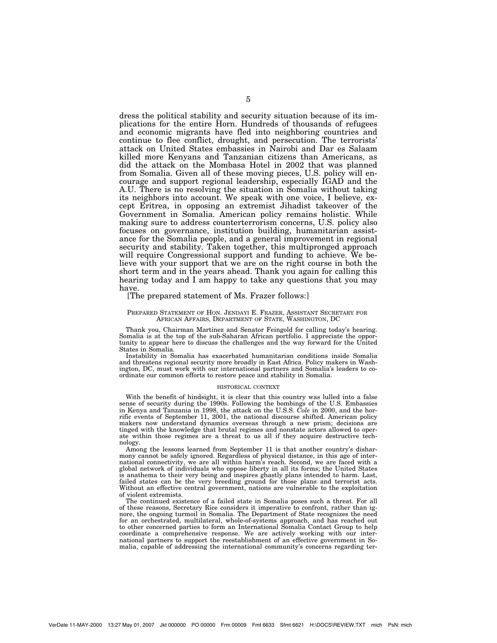dress the political stability and security situation because of its implications for the entire Horn. Hundreds of thousands of refugees and economic migrants have fled into neighboring countries and continue to flee conflict, drought, and persecution. The terrorists' attack on United States embassies in Nairobi and Dar es Salaam killed more Kenyans and Tanzanian citizens than Americans, as did the attack on the Mombasa Hotel in 2002 that was planned from Somalia. Given all of these moving pieces, U.S. policy will encourage and support regional leadership, especially IGAD and the A.U. There is no resolving the situation in Somalia without taking its neighbors into account. We speak with one voice, I believe, except Eritrea, in opposing an extremist Jihadist takeover of the Government in Somalia. American policy remains holistic. While making sure to address counterterrorism concerns, U.S. policy also focuses on governance, institution building, humanitarian assistance for the Somalia people, and a general improvement in regional security and stability. Taken together, this multipronged approach will require Congressional support and funding to achieve. We believe with your support that we are on the right course in both the short term and in the years ahead. Thank you again for calling this hearing today and I am happy to take any questions that you may have.

# [The prepared statement of Ms. Frazer follows:]

#### PREPARED STATEMENT OF HON. JENDAYI E. FRAZER, ASSISTANT SECRETARY FOR AFRICAN AFFAIRS, DEPARTMENT OF STATE, WASHINGTON, DC

Thank you, Chairman Martinez and Senator Feingold for calling today's hearing. Somalia is at the top of the sub-Saharan African portfolio. I appreciate the opportunity to appear here to discuss the challenges and the way forward for the United States in Somalia.

Instability in Somalia has exacerbated humanitarian conditions inside Somalia and threatens regional security more broadly in East Africa. Policy makers in Washington, DC, must work with our international partners and Somalia's leaders to coordinate our common efforts to restore peace and stability in Somalia.

#### HISTORICAL CONTEXT

With the benefit of hindsight, it is clear that this country was lulled into a false sense of security during the 1990s. Following the bombings of the U.S. Embassies in Kenya and Tanzania in 1998, the attack on the U.S.S. *Cole* in 2000, and the horrific events of September 11, 2001, the national discourse shifted. American policy makers now understand dynamics overseas through a new prism; decisions are tinged with the knowledge that brutal regimes and nonstate actors allowed to operate within those regimes are a threat to us all if they acquire destructive technology.

Among the lessons learned from September 11 is that another country's disharmony cannot be safely ignored. Regardless of physical distance, in this age of international connectivity, we are all within harm's reach. Second, we are faced with a global network of individuals who oppose liberty in all its forms; the United States is anathema to their very being and inspires ghastly plans intended to harm. Last, failed states can be the very breeding ground for those plans and terrorist acts. Without an effective central government, nations are vulnerable to the exploitation of violent extremists.

The continued existence of a failed state in Somalia poses such a threat. For all of these reasons, Secretary Rice considers it imperative to confront, rather than ignore, the ongoing turmoil in Somalia. The Department of State recognizes the need for an orchestrated, multilateral, whole-of-systems approach, and has reached out to other concerned parties to form an International Somalia Contact Group to help coordinate a comprehensive response. We are actively working with our international partners to support the reestablishment of an effective government in Somalia, capable of addressing the international community's concerns regarding ter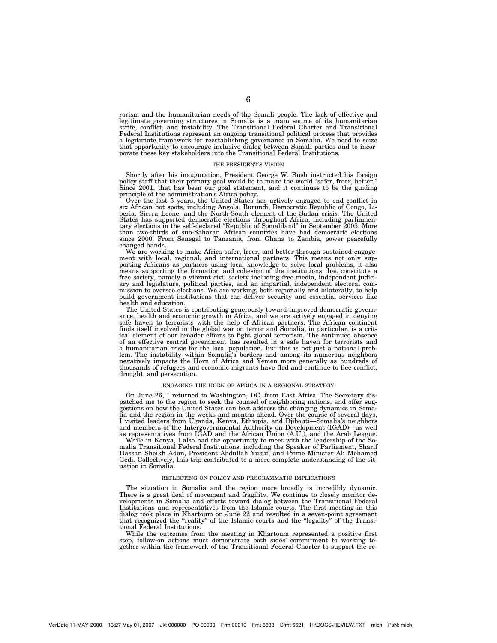rorism and the humanitarian needs of the Somali people. The lack of effective and legitimate governing structures in Somalia is a main source of its humanitarian strife, conflict, and instability. The Transitional Federal Charter and Transitional Federal Institutions represent an ongoing transitional political process that provides a legitimate framework for reestablishing governance in Somalia. We need to seize that opportunity to encourage inclusive dialog between Somali parties and to incor-porate these key stakeholders into the Transitional Federal Institutions.

#### THE PRESIDENT'S VISION

Shortly after his inauguration, President George W. Bush instructed his foreign policy staff that their primary goal would be to make the world "safer, freer, better. Since 2001, that has been our goal statement, and it continues to be the guiding principle of the administration's Africa policy. Over the last 5 years, the United States has actively engaged to end conflict in

six African hot spots, including Angola, Burundi, Democratic Republic of Congo, Li-beria, Sierra Leone, and the North-South element of the Sudan crisis. The United States has supported democratic elections throughout Africa, including parliamen-tary elections in the self-declared ''Republic of Somaliland'' in September 2005. More than two-thirds of sub-Saharan African countries have had democratic elections since 2000. From Senegal to Tanzania, from Ghana to Zambia, power peacefully changed hands.

We are working to make Africa safer, freer, and better through sustained engagement with local, regional, and international partners. This means not only supporting Africans as partners using local knowledge to solve local problems, it also means supporting the formation and cohesion of the institutions that constitute a free society, namely a vibrant civil society including free media, independent judiciary and legislature, political parties, and an impartial, independent electoral commission to oversee elections. We are working, both regionally and bilaterally, to help<br>build government institutions that can deliver secur health and education.

The United States is contributing generously toward improved democratic governance, health and economic growth in Africa, and we are actively engaged in denying safe haven to terrorists with the help of African partners. The African continent finds itself involved in the global war on terror and Somalia, in particular, is a crit-ical element of our broader efforts to fight global terrorism. The continued absence of an effective central government has resulted in a safe haven for terrorists and a humanitarian crisis for the local population. But this is not just a national prob-lem. The instability within Somalia's borders and among its numerous neighbors negatively impacts the Horn of Africa and Yemen more generally as hundreds of thousands of refugees and economic migrants have fled and continue to flee conflict, drought, and persecution.

#### ENGAGING THE HORN OF AFRICA IN A REGIONAL STRATEGY

On June 26, I returned to Washington, DC, from East Africa. The Secretary dispatched me to the region to seek the counsel of neighboring nations, and offer sug-gestions on how the United States can best address the changing dynamics in Somalia and the region in the weeks and months ahead. Over the course of several days, I visited leaders from Uganda, Kenya, Ethiopia, and Djibouti—Somalia's neighbors and members of the Intergovernmental Authority on Development (IGAD)—as well<br>as representatives from IGAD and the African Union (A.U.), and the Arab League.<br>While in Kenya, I also had the opportunity to meet with the leade

malia Transitional Federal Institutions, including the Speaker of Parliament, Sharif Hassan Sheikh Adan, President Abdullah Yusuf, and Prime Minister Ali Mohamed Gedi. Collectively, this trip contributed to a more complete understanding of the situation in Somalia.

#### REFLECTING ON POLICY AND PROGRAMMATIC IMPLICATIONS

The situation in Somalia and the region more broadly is incredibly dynamic. There is a great deal of movement and fragility. We continue to closely monitor developments in Somalia and efforts toward dialog between the Transitional Federal Institutions and representatives from the Islamic courts. The first meeting in this dialog took place in Khartoum on June 22 and resulted in a seven-point agreement that recognized the "reality" of the Islamic courts and the "legality" of the Transitional Federal Institutions.

While the outcomes from the meeting in Khartoum represented a positive first step, follow-on actions must demonstrate both sides' commitment to working to-gether within the framework of the Transitional Federal Charter to support the re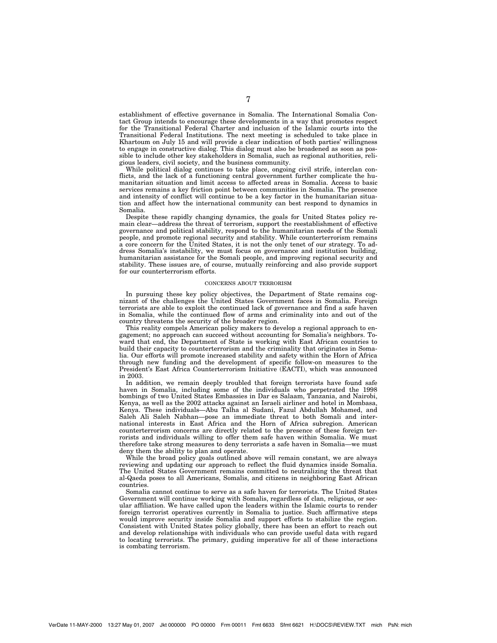establishment of effective governance in Somalia. The International Somalia Contact Group intends to encourage these developments in a way that promotes respect for the Transitional Federal Charter and inclusion of the Islamic courts into the Transitional Federal Institutions. The next meeting is scheduled to take place in Khartoum on July 15 and will provide a clear indication of both parties' willingness to engage in constructive dialog. This dialog must also be broadened as soon as possible to include other key stakeholders in Somalia, such as regional authorities, religious leaders, civil society, and the business community.

While political dialog continues to take place, ongoing civil strife, interclan conflicts, and the lack of a functioning central government further complicate the humanitarian situation and limit access to affected areas in Somalia. Access to basic services remains a key friction point between communities in Somalia. The presence and intensity of conflict will continue to be a key factor in the humanitarian situation and affect how the international community can best respond to dynamics in Somalia.

Despite these rapidly changing dynamics, the goals for United States policy remain clear—address the threat of terrorism, support the reestablishment of effective governance and political stability, respond to the humanitarian needs of the Somali people, and promote regional security and stability. While counterterrorism remains a core concern for the United States, it is not the only tenet of our strategy. To address Somalia's instability, we must focus on governance and institution building, humanitarian assistance for the Somali people, and improving regional security and stability. These issues are, of course, mutually reinforcing and also provide support for our counterterrorism efforts.

#### CONCERNS ABOUT TERRORISM

In pursuing these key policy objectives, the Department of State remains cognizant of the challenges the United States Government faces in Somalia. Foreign terrorists are able to exploit the continued lack of governance and find a safe haven in Somalia, while the continued flow of arms and criminality into and out of the country threatens the security of the broader region.

This reality compels American policy makers to develop a regional approach to engagement; no approach can succeed without accounting for Somalia's neighbors. Toward that end, the Department of State is working with East African countries to build their capacity to counterterrorism and the criminality that originates in Somalia. Our efforts will promote increased stability and safety within the Horn of Africa through new funding and the development of specific follow-on measures to the President's East Africa Counterterrorism Initiative (EACTI), which was announced in 2003.

In addition, we remain deeply troubled that foreign terrorists have found safe haven in Somalia, including some of the individuals who perpetrated the 1998 bombings of two United States Embassies in Dar es Salaam, Tanzania, and Nairobi, Kenya, as well as the 2002 attacks against an Israeli airliner and hotel in Mombasa, Kenya. These individuals—Abu Talha al Sudani, Fazul Abdullah Mohamed, and Saleh Ali Saleh Nabhan—pose an immediate threat to both Somali and international interests in East Africa and the Horn of Africa subregion. American counterterrorism concerns are directly related to the presence of these foreign terrorists and individuals willing to offer them safe haven within Somalia. We must therefore take strong measures to deny terrorists a safe haven in Somalia—we must deny them the ability to plan and operate.

While the broad policy goals outlined above will remain constant, we are always reviewing and updating our approach to reflect the fluid dynamics inside Somalia. The United States Government remains committed to neutralizing the threat that al-Qaeda poses to all Americans, Somalis, and citizens in neighboring East African countries.

Somalia cannot continue to serve as a safe haven for terrorists. The United States Government will continue working with Somalis, regardless of clan, religious, or secular affiliation. We have called upon the leaders within the Islamic courts to render foreign terrorist operatives currently in Somalia to justice. Such affirmative steps would improve security inside Somalia and support efforts to stabilize the region. Consistent with United States policy globally, there has been an effort to reach out and develop relationships with individuals who can provide useful data with regard to locating terrorists. The primary, guiding imperative for all of these interactions is combating terrorism.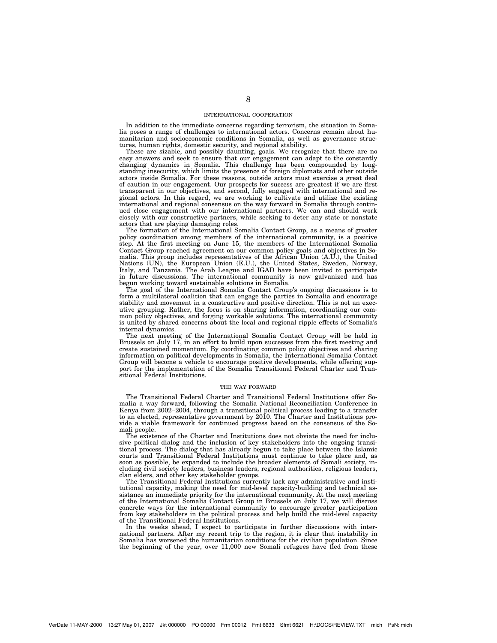#### INTERNATIONAL COOPERATION

In addition to the immediate concerns regarding terrorism, the situation in Somalia poses a range of challenges to international actors. Concerns remain about humanitarian and socioeconomic conditions in Somalia, as well as governance structures, human rights, domestic security, and regional stability.

These are sizable, and possibly daunting, goals. We recognize that there are no easy answers and seek to ensure that our engagement can adapt to the constantly changing dynamics in Somalia. This challenge has been compounded by longstanding insecurity, which limits the presence of foreign diplomats and other outside actors inside Somalia. For these reasons, outside actors must exercise a great deal of caution in our engagement. Our prospects for success are greatest if we are first transparent in our objectives, and second, fully engaged with international and regional actors. In this regard, we are working to cultivate and utilize the existing international and regional consensus on the way forward in Somalia through continued close engagement with our international partners. We can and should work closely with our constructive partners, while seeking to deter any state or nonstate actors that are playing damaging roles.

The formation of the International Somalia Contact Group, as a means of greater policy coordination among members of the international community, is a positive step. At the first meeting on June 15, the members of the International Somalia Contact Group reached agreement on our common policy goals and objectives in Somalia. This group includes representatives of the African Union (A.U.), the United Nations (UN), the European Union (E.U.), the United States, Sweden, Norway, Italy, and Tanzania. The Arab League and IGAD have been invited to participate in future discussions. The international community is now galvanized and has begun working toward sustainable solutions in Somalia.

The goal of the International Somalia Contact Group's ongoing discussions is to form a multilateral coalition that can engage the parties in Somalia and encourage stability and movement in a constructive and positive direction. This is not an executive grouping. Rather, the focus is on sharing information, coordinating our common policy objectives, and forging workable solutions. The international community is united by shared concerns about the local and regional ripple effects of Somalia's internal dynamics.

The next meeting of the International Somalia Contact Group will be held in Brussels on July 17, in an effort to build upon successes from the first meeting and create sustained momentum. By coordinating common policy objectives and sharing information on political developments in Somalia, the International Somalia Contact Group will become a vehicle to encourage positive developments, while offering support for the implementation of the Somalia Transitional Federal Charter and Transitional Federal Institutions.

#### THE WAY FORWARD

The Transitional Federal Charter and Transitional Federal Institutions offer Somalia a way forward, following the Somalia National Reconciliation Conference in Kenya from 2002–2004, through a transitional political process leading to a transfer to an elected, representative government by 2010. The Charter and Institutions provide a viable framework for continued progress based on the consensus of the Somali people.

The existence of the Charter and Institutions does not obviate the need for inclusive political dialog and the inclusion of key stakeholders into the ongoing transitional process. The dialog that has already begun to take place between the Islamic courts and Transitional Federal Institutions must continue to take place and, as soon as possible, be expanded to include the broader elements of Somali society, including civil society leaders, business leaders, regional authorities, religious leaders, clan elders, and other key stakeholder groups.

The Transitional Federal Institutions currently lack any administrative and institutional capacity, making the need for mid-level capacity-building and technical assistance an immediate priority for the international community. At the next meeting of the International Somalia Contact Group in Brussels on July 17, we will discuss concrete ways for the international community to encourage greater participation from key stakeholders in the political process and help build the mid-level capacity of the Transitional Federal Institutions.

In the weeks ahead, I expect to participate in further discussions with international partners. After my recent trip to the region, it is clear that instability in Somalia has worsened the humanitarian conditions for the civilian population. Since the beginning of the year, over 11,000 new Somali refugees have fled from these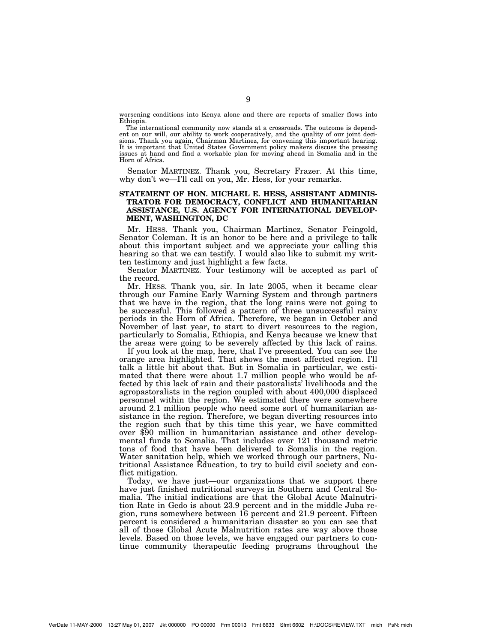worsening conditions into Kenya alone and there are reports of smaller flows into Ethiopia.

The international community now stands at a crossroads. The outcome is dependent on our will, our ability to work cooperatively, and the quality of our joint decisions. Thank you again, Chairman Martinez, for convening this important hearing. It is important that United States Government policy makers discuss the pressing issues at hand and find a workable plan for moving ahead in Somalia and in the Horn of Africa.

Senator MARTINEZ. Thank you, Secretary Frazer. At this time, why don't we—I'll call on you, Mr. Hess, for your remarks.

# **STATEMENT OF HON. MICHAEL E. HESS, ASSISTANT ADMINIS-TRATOR FOR DEMOCRACY, CONFLICT AND HUMANITARIAN ASSISTANCE, U.S. AGENCY FOR INTERNATIONAL DEVELOP-MENT, WASHINGTON, DC**

Mr. HESS. Thank you, Chairman Martinez, Senator Feingold, Senator Coleman. It is an honor to be here and a privilege to talk about this important subject and we appreciate your calling this hearing so that we can testify. I would also like to submit my written testimony and just highlight a few facts.

Senator MARTINEZ. Your testimony will be accepted as part of the record.

Mr. HESS. Thank you, sir. In late 2005, when it became clear through our Famine Early Warning System and through partners that we have in the region, that the long rains were not going to be successful. This followed a pattern of three unsuccessful rainy periods in the Horn of Africa. Therefore, we began in October and November of last year, to start to divert resources to the region, particularly to Somalia, Ethiopia, and Kenya because we knew that the areas were going to be severely affected by this lack of rains.

If you look at the map, here, that I've presented. You can see the orange area highlighted. That shows the most affected region. I'll talk a little bit about that. But in Somalia in particular, we estimated that there were about 1.7 million people who would be affected by this lack of rain and their pastoralists' livelihoods and the agropastoralists in the region coupled with about 400,000 displaced personnel within the region. We estimated there were somewhere around 2.1 million people who need some sort of humanitarian assistance in the region. Therefore, we began diverting resources into the region such that by this time this year, we have committed over \$90 million in humanitarian assistance and other developmental funds to Somalia. That includes over 121 thousand metric tons of food that have been delivered to Somalis in the region. Water sanitation help, which we worked through our partners, Nutritional Assistance Education, to try to build civil society and conflict mitigation.

Today, we have just—our organizations that we support there have just finished nutritional surveys in Southern and Central Somalia. The initial indications are that the Global Acute Malnutrition Rate in Gedo is about 23.9 percent and in the middle Juba region, runs somewhere between 16 percent and 21.9 percent. Fifteen percent is considered a humanitarian disaster so you can see that all of those Global Acute Malnutrition rates are way above those levels. Based on those levels, we have engaged our partners to continue community therapeutic feeding programs throughout the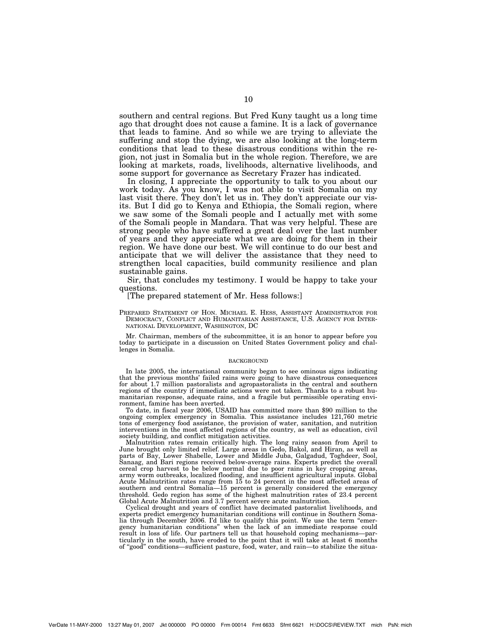southern and central regions. But Fred Kuny taught us a long time ago that drought does not cause a famine. It is a lack of governance that leads to famine. And so while we are trying to alleviate the suffering and stop the dying, we are also looking at the long-term conditions that lead to these disastrous conditions within the region, not just in Somalia but in the whole region. Therefore, we are looking at markets, roads, livelihoods, alternative livelihoods, and some support for governance as Secretary Frazer has indicated.

In closing, I appreciate the opportunity to talk to you about our work today. As you know, I was not able to visit Somalia on my last visit there. They don't let us in. They don't appreciate our visits. But I did go to Kenya and Ethiopia, the Somali region, where we saw some of the Somali people and I actually met with some of the Somali people in Mandara. That was very helpful. These are strong people who have suffered a great deal over the last number of years and they appreciate what we are doing for them in their region. We have done our best. We will continue to do our best and anticipate that we will deliver the assistance that they need to strengthen local capacities, build community resilience and plan sustainable gains.

Sir, that concludes my testimony. I would be happy to take your questions.

[The prepared statement of Mr. Hess follows:]

PREPARED STATEMENT OF HON. MICHAEL E. HESS, ASSISTANT ADMINISTRATOR FOR DEMOCRACY, CONFLICT AND HUMANITARIAN ASSISTANCE, U.S. AGENCY FOR INTER-NATIONAL DEVELOPMENT, WASHINGTON, DC

Mr. Chairman, members of the subcommittee, it is an honor to appear before you today to participate in a discussion on United States Government policy and challenges in Somalia.

#### **BACKGROUND**

In late 2005, the international community began to see ominous signs indicating that the previous months' failed rains were going to have disastrous consequences for about 1.7 million pastoralists and agropastoralists in the central and southern regions of the country if immediate actions were not taken. Thanks to a robust humanitarian response, adequate rains, and a fragile but permissible operating environment, famine has been averted.

To date, in fiscal year 2006, USAID has committed more than \$90 million to the ongoing complex emergency in Somalia. This assistance includes 121,760 metric tons of emergency food assistance, the provision of water, sanitation, and nutrition interventions in the most affected regions of the country, as well as education, civil society building, and conflict mitigation activities.

Malnutrition rates remain critically high. The long rainy season from April to June brought only limited relief. Large areas in Gedo, Bakol, and Hiran, as well as parts of Bay, Lower Shabelle, Lower and Middle Juba, Galgadud, Toghdeer, Sool, Sanaag, and Bari regions received below-average rains. Experts predict the overall cereal crop harvest to be below normal due to poor rains in key cropping areas, army worm outbreaks, localized flooding, and insufficient agricultural inputs. Global Acute Malnutrition rates range from 15 to 24 percent in the most affected areas of southern and central Somalia—15 percent is generally considered the emergency threshold. Gedo region has some of the highest malnutrition rates of 23.4 percent Global Acute Malnutrition and 3.7 percent severe acute malnutrition.

Cyclical drought and years of conflict have decimated pastoralist livelihoods, and experts predict emergency humanitarian conditions will continue in Southern Somalia through December 2006. I'd like to qualify this point. We use the term "emergency humanitarian conditions'' when the lack of an immediate response could result in loss of life. Our partners tell us that household coping mechanisms—particularly in the south, have eroded to the point that it will take at least 6 months of ''good'' conditions—sufficient pasture, food, water, and rain—to stabilize the situa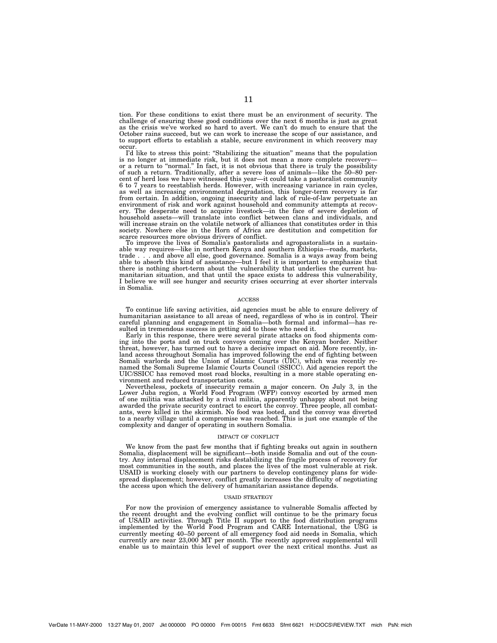tion. For these conditions to exist there must be an environment of security. The challenge of ensuring these good conditions over the next 6 months is just as great as the crisis we've worked so hard to avert. We can't do much to ensure that the October rains succeed, but we can work to increase the scope of our assistance, and to support efforts to establish a stable, secure environment in which recovery may

occur. I'd like to stress this point: ''Stabilizing the situation'' means that the population is no longer at immediate risk, but it does not mean a more complete recovery— or a return to ''normal.'' In fact, it is not obvious that there is truly the possibility of such a return. Traditionally, after a severe loss of animals—like the 50–80 percent of herd loss we have witnessed this year—it could take a pastoralist community 6 to 7 years to reestablish herds. However, with increasing variance in rain cycles, as well as increasing environmental degradation, this longer-term recovery is far from certain. In addition, ongoing insecurity and lack of rule-of-law perpetuate an environment of risk and work against household and community attempts at recovery. The desperate need to acquire livestock—in the face of severe depletion of household assets—will translate into conflict between clans and individuals, and will increase strain on the volatile network of alliances that constitutes order in this society. Nowhere else in the Horn of Africa are destitution and competition for scarce resources more obvious drivers of conflict.

To improve the lives of Somalia's pastoralists and agropastoralists in a sustainable way requires—like in northern Kenya and southern Ethiopia—roads, markets, trade... and above all else, good governance. Somalia is a ways manitarian situation, and that until the space exists to address this vulnerability, I believe we will see hunger and security crises occurring at ever shorter intervals in Somalia.

#### ACCESS

To continue life saving activities, aid agencies must be able to ensure delivery of humanitarian assistance to all areas of need, regardless of who is in control. Their careful planning and engagement in Somalia—both formal and informal—has resulted in tremendous success in getting aid to those who need it.

Early in this response, there were several pirate attacks on food shipments coming into the ports and on truck convoys coming over the Kenyan border. Neither threat, however, has turned out to have a decisive impact on aid. More recently, inland access throughout Somalia has improved following the end of fighting between<br>Somali warlords and the Union of Islamic Courts (UIC), which was recently re-<br>named the Somali Supreme Islamic Courts Council (SSICC). Aid a UIC/SSICC has removed most road blocks, resulting in a more stable operating environment and reduced transportation costs.

Nevertheless, pockets of insecurity remain a major concern. On July 3, in the Lower Juba region, a World Food Program (WFP) convoy escorted by armed men of one militia was attacked by a rival militia, apparently unhappy about not being awarded the private security contract to escort the convoy. Three people, all combatants, were killed in the skirmish. No food was looted, and the convoy was diverted to a nearby village until a compromise was reached. This is just one example of the complexity and danger of operating in southern Somalia.

#### IMPACT OF CONFLICT

We know from the past few months that if fighting breaks out again in southern Somalia, displacement will be significant—both inside Somalia and out of the country. Any internal displacement risks destabilizing the fragile process of recovery for most communities in the south, and places the lives of the most vulnerable at risk. USAID is working closely with our partners to develop contingency plans for widespread displacement; however, conflict greatly increases the difficulty of negotiating the access upon which the delivery of humanitarian assistance depends.

#### USAID STRATEGY

For now the provision of emergency assistance to vulnerable Somalis affected by the recent drought and the evolving conflict will continue to be the primary focus of USAID activities. Through Title II support to the food distribution programs implemented by the World Food Program and CARE International, the USG is currently meeting 40–50 percent of all emergency food aid needs in Somalia, which currently are near 23,000 MT per month. The recently approved supplemental will enable us to maintain this level of support over the next critical months. Just as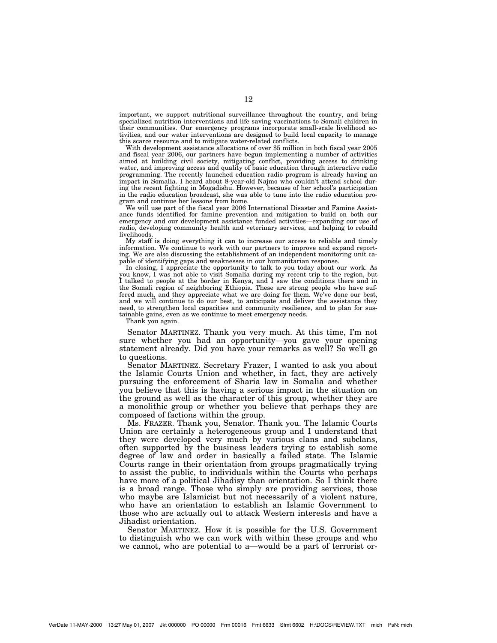important, we support nutritional surveillance throughout the country, and bring specialized nutrition interventions and life saving vaccinations to Somali children in their communities. Our emergency programs incorporate small-scale livelihood activities, and our water interventions are designed to build local capacity to manage this scarce resource and to mitigate water-related conflicts.

With development assistance allocations of over \$5 million in both fiscal year 2005 and fiscal year 2006, our partners have begun implementing a number of activities aimed at building civil society, mitigating conflict, providing access to drinking water, and improving access and quality of basic education through interactive radio programming. The recently launched education radio program is already having an impact in Somalia. I heard about 8-year-old Najmo who couldn't attend school during the recent fighting in Mogadishu. However, because of her school's participation in the radio education broadcast, she was able to tune into the radio education program and continue her lessons from home.

We will use part of the fiscal year 2006 International Disaster and Famine Assistance funds identified for famine prevention and mitigation to build on both our emergency and our development assistance funded activities—expanding our use of radio, developing community health and veterinary services, and helping to rebuild livelihoods.

My staff is doing everything it can to increase our access to reliable and timely information. We continue to work with our partners to improve and expand reporting. We are also discussing the establishment of an independent monitoring unit capable of identifying gaps and weaknesses in our humanitarian response.

In closing, I appreciate the opportunity to talk to you today about our work. As you know, I was not able to visit Somalia during my recent trip to the region, but I talked to people at the border in Kenya, and I saw the conditions there and in the Somali region of neighboring Ethiopia. These are strong people who have suffered much, and they appreciate what we are doing for them. We've done our best, and we will continue to do our best, to anticipate and deliver the assistance they need, to strengthen local capacities and community resilience, and to plan for sustainable gains, even as we continue to meet emergency needs.

Thank you again.

Senator MARTINEZ. Thank you very much. At this time, I'm not sure whether you had an opportunity—you gave your opening statement already. Did you have your remarks as well? So we'll go to questions.

Senator MARTINEZ. Secretary Frazer, I wanted to ask you about the Islamic Courts Union and whether, in fact, they are actively pursuing the enforcement of Sharia law in Somalia and whether you believe that this is having a serious impact in the situation on the ground as well as the character of this group, whether they are a monolithic group or whether you believe that perhaps they are composed of factions within the group.

Ms. FRAZER. Thank you, Senator. Thank you. The Islamic Courts Union are certainly a heterogeneous group and I understand that they were developed very much by various clans and subclans, often supported by the business leaders trying to establish some degree of law and order in basically a failed state. The Islamic Courts range in their orientation from groups pragmatically trying to assist the public, to individuals within the Courts who perhaps have more of a political Jihadisy than orientation. So I think there is a broad range. Those who simply are providing services, those who maybe are Islamicist but not necessarily of a violent nature, who have an orientation to establish an Islamic Government to those who are actually out to attack Western interests and have a Jihadist orientation.

Senator MARTINEZ. How it is possible for the U.S. Government to distinguish who we can work with within these groups and who we cannot, who are potential to a—would be a part of terrorist or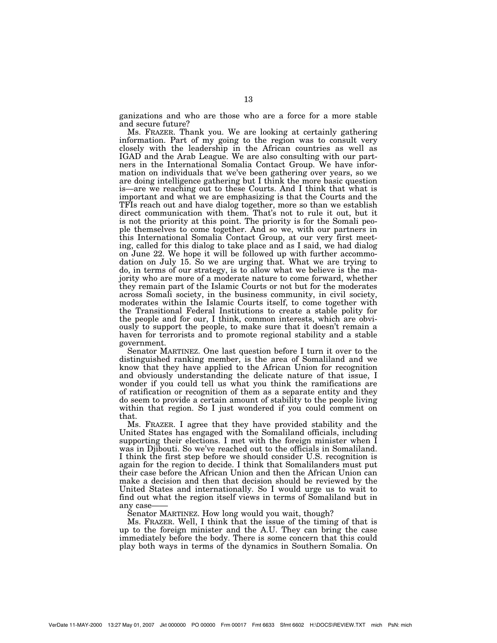ganizations and who are those who are a force for a more stable and secure future?

Ms. FRAZER. Thank you. We are looking at certainly gathering information. Part of my going to the region was to consult very closely with the leadership in the African countries as well as IGAD and the Arab League. We are also consulting with our partners in the International Somalia Contact Group. We have information on individuals that we've been gathering over years, so we are doing intelligence gathering but I think the more basic question is—are we reaching out to these Courts. And I think that what is important and what we are emphasizing is that the Courts and the TFIs reach out and have dialog together, more so than we establish direct communication with them. That's not to rule it out, but it is not the priority at this point. The priority is for the Somali people themselves to come together. And so we, with our partners in this International Somalia Contact Group, at our very first meeting, called for this dialog to take place and as I said, we had dialog on June 22. We hope it will be followed up with further accommodation on July 15. So we are urging that. What we are trying to do, in terms of our strategy, is to allow what we believe is the majority who are more of a moderate nature to come forward, whether they remain part of the Islamic Courts or not but for the moderates across Somali society, in the business community, in civil society, moderates within the Islamic Courts itself, to come together with the Transitional Federal Institutions to create a stable polity for the people and for our, I think, common interests, which are obviously to support the people, to make sure that it doesn't remain a haven for terrorists and to promote regional stability and a stable government.

Senator MARTINEZ. One last question before I turn it over to the distinguished ranking member, is the area of Somaliland and we know that they have applied to the African Union for recognition and obviously understanding the delicate nature of that issue, I wonder if you could tell us what you think the ramifications are of ratification or recognition of them as a separate entity and they do seem to provide a certain amount of stability to the people living within that region. So I just wondered if you could comment on that.

Ms. FRAZER. I agree that they have provided stability and the United States has engaged with the Somaliland officials, including supporting their elections. I met with the foreign minister when I was in Djibouti. So we've reached out to the officials in Somaliland. I think the first step before we should consider U.S. recognition is again for the region to decide. I think that Somalilanders must put their case before the African Union and then the African Union can make a decision and then that decision should be reviewed by the United States and internationally. So I would urge us to wait to find out what the region itself views in terms of Somaliland but in any case-

Senator MARTINEZ. How long would you wait, though?

Ms. FRAZER. Well, I think that the issue of the timing of that is up to the foreign minister and the A.U. They can bring the case immediately before the body. There is some concern that this could play both ways in terms of the dynamics in Southern Somalia. On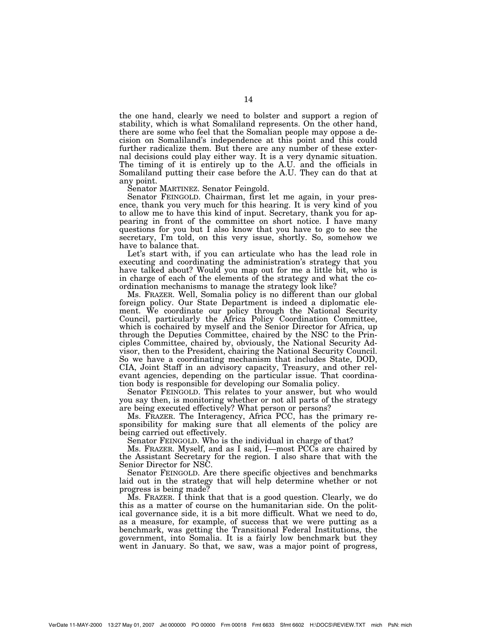the one hand, clearly we need to bolster and support a region of stability, which is what Somaliland represents. On the other hand, there are some who feel that the Somalian people may oppose a decision on Somaliland's independence at this point and this could further radicalize them. But there are any number of these external decisions could play either way. It is a very dynamic situation. The timing of it is entirely up to the A.U. and the officials in Somaliland putting their case before the A.U. They can do that at any point.

Senator MARTINEZ. Senator Feingold.

Senator FEINGOLD. Chairman, first let me again, in your presence, thank you very much for this hearing. It is very kind of you to allow me to have this kind of input. Secretary, thank you for appearing in front of the committee on short notice. I have many questions for you but I also know that you have to go to see the secretary, I'm told, on this very issue, shortly. So, somehow we have to balance that.

Let's start with, if you can articulate who has the lead role in executing and coordinating the administration's strategy that you have talked about? Would you map out for me a little bit, who is in charge of each of the elements of the strategy and what the coordination mechanisms to manage the strategy look like?

Ms. FRAZER. Well, Somalia policy is no different than our global foreign policy. Our State Department is indeed a diplomatic element. We coordinate our policy through the National Security Council, particularly the Africa Policy Coordination Committee, which is cochaired by myself and the Senior Director for Africa, up through the Deputies Committee, chaired by the NSC to the Principles Committee, chaired by, obviously, the National Security Advisor, then to the President, chairing the National Security Council. So we have a coordinating mechanism that includes State, DOD, CIA, Joint Staff in an advisory capacity, Treasury, and other relevant agencies, depending on the particular issue. That coordination body is responsible for developing our Somalia policy.

Senator FEINGOLD. This relates to your answer, but who would you say then, is monitoring whether or not all parts of the strategy are being executed effectively? What person or persons?

Ms. FRAZER. The Interagency, Africa PCC, has the primary responsibility for making sure that all elements of the policy are being carried out effectively.

Senator FEINGOLD. Who is the individual in charge of that?

Ms. FRAZER. Myself, and as I said, I—most PCCs are chaired by the Assistant Secretary for the region. I also share that with the Senior Director for NSC.

Senator FEINGOLD. Are there specific objectives and benchmarks laid out in the strategy that will help determine whether or not progress is being made?

Ms. FRAZER. I think that that is a good question. Clearly, we do this as a matter of course on the humanitarian side. On the political governance side, it is a bit more difficult. What we need to do, as a measure, for example, of success that we were putting as a benchmark, was getting the Transitional Federal Institutions, the government, into Somalia. It is a fairly low benchmark but they went in January. So that, we saw, was a major point of progress,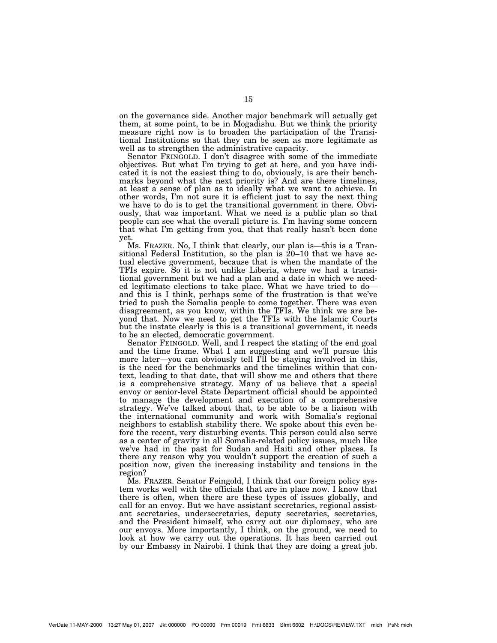on the governance side. Another major benchmark will actually get them, at some point, to be in Mogadishu. But we think the priority measure right now is to broaden the participation of the Transitional Institutions so that they can be seen as more legitimate as well as to strengthen the administrative capacity.

Senator FEINGOLD. I don't disagree with some of the immediate objectives. But what I'm trying to get at here, and you have indicated it is not the easiest thing to do, obviously, is are their benchmarks beyond what the next priority is? And are there timelines, at least a sense of plan as to ideally what we want to achieve. In other words, I'm not sure it is efficient just to say the next thing we have to do is to get the transitional government in there. Obviously, that was important. What we need is a public plan so that people can see what the overall picture is. I'm having some concern that what I'm getting from you, that that really hasn't been done yet.

Ms. FRAZER. No, I think that clearly, our plan is—this is a Transitional Federal Institution, so the plan is 20–10 that we have actual elective government, because that is when the mandate of the TFIs expire. So it is not unlike Liberia, where we had a transitional government but we had a plan and a date in which we needed legitimate elections to take place. What we have tried to do and this is I think, perhaps some of the frustration is that we've tried to push the Somalia people to come together. There was even disagreement, as you know, within the TFIs. We think we are beyond that. Now we need to get the TFIs with the Islamic Courts but the instate clearly is this is a transitional government, it needs to be an elected, democratic government.

Senator FEINGOLD. Well, and I respect the stating of the end goal and the time frame. What I am suggesting and we'll pursue this more later—you can obviously tell I'll be staying involved in this, is the need for the benchmarks and the timelines within that context, leading to that date, that will show me and others that there is a comprehensive strategy. Many of us believe that a special envoy or senior-level State Department official should be appointed to manage the development and execution of a comprehensive strategy. We've talked about that, to be able to be a liaison with the international community and work with Somalia's regional neighbors to establish stability there. We spoke about this even before the recent, very disturbing events. This person could also serve as a center of gravity in all Somalia-related policy issues, much like we've had in the past for Sudan and Haiti and other places. Is there any reason why you wouldn't support the creation of such a position now, given the increasing instability and tensions in the region?

Ms. FRAZER. Senator Feingold, I think that our foreign policy system works well with the officials that are in place now. I know that there is often, when there are these types of issues globally, and call for an envoy. But we have assistant secretaries, regional assistant secretaries, undersecretaries, deputy secretaries, secretaries, and the President himself, who carry out our diplomacy, who are our envoys. More importantly, I think, on the ground, we need to look at how we carry out the operations. It has been carried out by our Embassy in Nairobi. I think that they are doing a great job.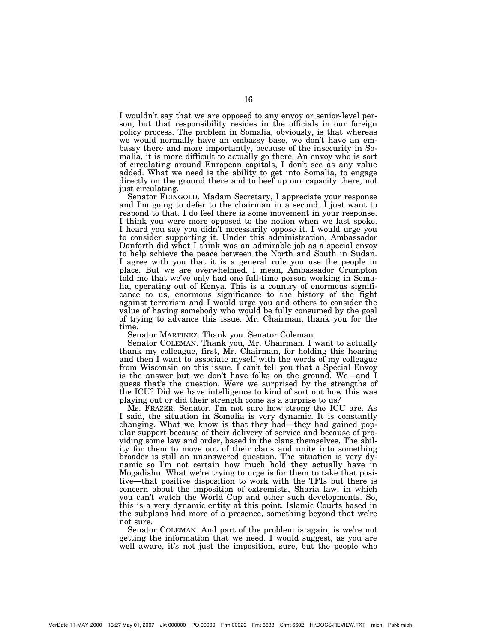I wouldn't say that we are opposed to any envoy or senior-level person, but that responsibility resides in the officials in our foreign policy process. The problem in Somalia, obviously, is that whereas we would normally have an embassy base, we don't have an embassy there and more importantly, because of the insecurity in Somalia, it is more difficult to actually go there. An envoy who is sort of circulating around European capitals, I don't see as any value added. What we need is the ability to get into Somalia, to engage directly on the ground there and to beef up our capacity there, not just circulating.

Senator FEINGOLD. Madam Secretary, I appreciate your response and I'm going to defer to the chairman in a second. I just want to respond to that. I do feel there is some movement in your response. I think you were more opposed to the notion when we last spoke. I heard you say you didn't necessarily oppose it. I would urge you to consider supporting it. Under this administration, Ambassador Danforth did what I think was an admirable job as a special envoy to help achieve the peace between the North and South in Sudan. I agree with you that it is a general rule you use the people in place. But we are overwhelmed. I mean, Ambassador Crumpton told me that we've only had one full-time person working in Somalia, operating out of Kenya. This is a country of enormous significance to us, enormous significance to the history of the fight against terrorism and I would urge you and others to consider the value of having somebody who would be fully consumed by the goal of trying to advance this issue. Mr. Chairman, thank you for the time.

Senator MARTINEZ. Thank you. Senator Coleman.

Senator COLEMAN. Thank you, Mr. Chairman. I want to actually thank my colleague, first, Mr. Chairman, for holding this hearing and then I want to associate myself with the words of my colleague from Wisconsin on this issue. I can't tell you that a Special Envoy is the answer but we don't have folks on the ground. We—and I guess that's the question. Were we surprised by the strengths of the ICU? Did we have intelligence to kind of sort out how this was playing out or did their strength come as a surprise to us?

Ms. FRAZER. Senator, I'm not sure how strong the ICU are. As I said, the situation in Somalia is very dynamic. It is constantly changing. What we know is that they had—they had gained popular support because of their delivery of service and because of providing some law and order, based in the clans themselves. The ability for them to move out of their clans and unite into something broader is still an unanswered question. The situation is very dynamic so I'm not certain how much hold they actually have in Mogadishu. What we're trying to urge is for them to take that positive—that positive disposition to work with the TFIs but there is concern about the imposition of extremists, Sharia law, in which you can't watch the World Cup and other such developments. So, this is a very dynamic entity at this point. Islamic Courts based in the subplans had more of a presence, something beyond that we're not sure.

Senator COLEMAN. And part of the problem is again, is we're not getting the information that we need. I would suggest, as you are well aware, it's not just the imposition, sure, but the people who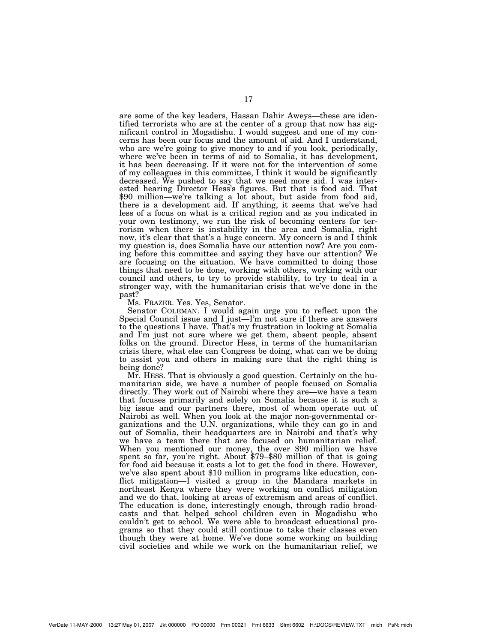are some of the key leaders, Hassan Dahir Aweys—these are identified terrorists who are at the center of a group that now has significant control in Mogadishu. I would suggest and one of my concerns has been our focus and the amount of aid. And I understand, who are we're going to give money to and if you look, periodically, where we've been in terms of aid to Somalia, it has development, it has been decreasing. If it were not for the intervention of some of my colleagues in this committee, I think it would be significantly decreased. We pushed to say that we need more aid. I was interested hearing Director Hess's figures. But that is food aid. That \$90 million—we're talking a lot about, but aside from food aid, there is a development aid. If anything, it seems that we've had less of a focus on what is a critical region and as you indicated in your own testimony, we run the risk of becoming centers for terrorism when there is instability in the area and Somalia, right now, it's clear that that's a huge concern. My concern is and I think my question is, does Somalia have our attention now? Are you coming before this committee and saying they have our attention? We are focusing on the situation. We have committed to doing those things that need to be done, working with others, working with our council and others, to try to provide stability, to try to deal in a stronger way, with the humanitarian crisis that we've done in the past?

Ms. FRAZER. Yes. Yes, Senator.

Senator COLEMAN. I would again urge you to reflect upon the Special Council issue and I just—I'm not sure if there are answers to the questions I have. That's my frustration in looking at Somalia and I'm just not sure where we get them, absent people, absent folks on the ground. Director Hess, in terms of the humanitarian crisis there, what else can Congress be doing, what can we be doing to assist you and others in making sure that the right thing is being done?

Mr. HESS. That is obviously a good question. Certainly on the humanitarian side, we have a number of people focused on Somalia directly. They work out of Nairobi where they are—we have a team that focuses primarily and solely on Somalia because it is such a big issue and our partners there, most of whom operate out of Nairobi as well. When you look at the major non-governmental organizations and the U.N. organizations, while they can go in and out of Somalia, their headquarters are in Nairobi and that's why we have a team there that are focused on humanitarian relief. When you mentioned our money, the over \$90 million we have spent so far, you're right. About \$79–\$80 million of that is going for food aid because it costs a lot to get the food in there. However, we've also spent about \$10 million in programs like education, conflict mitigation—I visited a group in the Mandara markets in northeast Kenya where they were working on conflict mitigation and we do that, looking at areas of extremism and areas of conflict. The education is done, interestingly enough, through radio broadcasts and that helped school children even in Mogadishu who couldn't get to school. We were able to broadcast educational programs so that they could still continue to take their classes even though they were at home. We've done some working on building civil societies and while we work on the humanitarian relief, we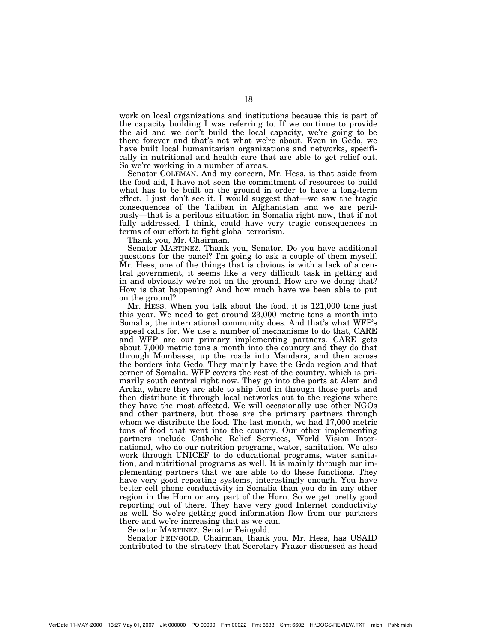work on local organizations and institutions because this is part of the capacity building I was referring to. If we continue to provide the aid and we don't build the local capacity, we're going to be there forever and that's not what we're about. Even in Gedo, we have built local humanitarian organizations and networks, specifically in nutritional and health care that are able to get relief out. So we're working in a number of areas.

Senator COLEMAN. And my concern, Mr. Hess, is that aside from the food aid, I have not seen the commitment of resources to build what has to be built on the ground in order to have a long-term effect. I just don't see it. I would suggest that—we saw the tragic consequences of the Taliban in Afghanistan and we are perilously—that is a perilous situation in Somalia right now, that if not fully addressed, I think, could have very tragic consequences in terms of our effort to fight global terrorism.

Thank you, Mr. Chairman.

Senator MARTINEZ. Thank you, Senator. Do you have additional questions for the panel? I'm going to ask a couple of them myself. Mr. Hess, one of the things that is obvious is with a lack of a central government, it seems like a very difficult task in getting aid in and obviously we're not on the ground. How are we doing that? How is that happening? And how much have we been able to put on the ground?

Mr. HESS. When you talk about the food, it is 121,000 tons just this year. We need to get around 23,000 metric tons a month into Somalia, the international community does. And that's what WFP's appeal calls for. We use a number of mechanisms to do that, CARE and WFP are our primary implementing partners. CARE gets about 7,000 metric tons a month into the country and they do that through Mombassa, up the roads into Mandara, and then across the borders into Gedo. They mainly have the Gedo region and that corner of Somalia. WFP covers the rest of the country, which is primarily south central right now. They go into the ports at Alem and Areka, where they are able to ship food in through those ports and then distribute it through local networks out to the regions where they have the most affected. We will occasionally use other NGOs and other partners, but those are the primary partners through whom we distribute the food. The last month, we had 17,000 metric tons of food that went into the country. Our other implementing partners include Catholic Relief Services, World Vision International, who do our nutrition programs, water, sanitation. We also work through UNICEF to do educational programs, water sanitation, and nutritional programs as well. It is mainly through our implementing partners that we are able to do these functions. They have very good reporting systems, interestingly enough. You have better cell phone conductivity in Somalia than you do in any other region in the Horn or any part of the Horn. So we get pretty good reporting out of there. They have very good Internet conductivity as well. So we're getting good information flow from our partners there and we're increasing that as we can.

Senator MARTINEZ. Senator Feingold.

Senator FEINGOLD. Chairman, thank you. Mr. Hess, has USAID contributed to the strategy that Secretary Frazer discussed as head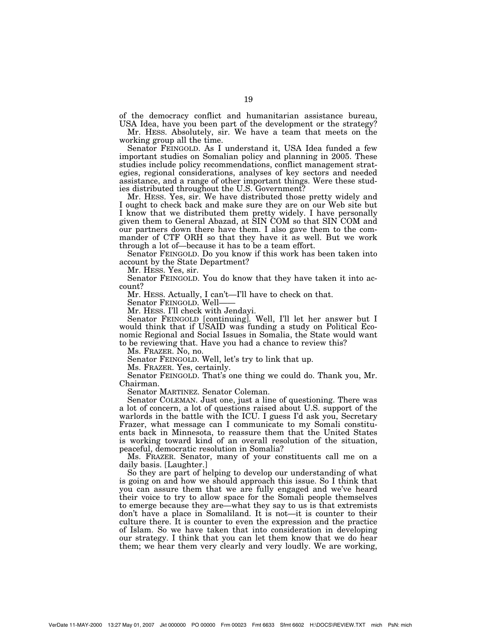of the democracy conflict and humanitarian assistance bureau, USA Idea, have you been part of the development or the strategy?

Mr. HESS. Absolutely, sir. We have a team that meets on the working group all the time.

Senator FEINGOLD. As I understand it, USA Idea funded a few important studies on Somalian policy and planning in 2005. These studies include policy recommendations, conflict management strategies, regional considerations, analyses of key sectors and needed assistance, and a range of other important things. Were these studies distributed throughout the U.S. Government?

Mr. HESS. Yes, sir. We have distributed those pretty widely and I ought to check back and make sure they are on our Web site but I know that we distributed them pretty widely. I have personally given them to General Abazad, at SIN COM so that SIN COM and our partners down there have them. I also gave them to the commander of CTF ORH so that they have it as well. But we work through a lot of—because it has to be a team effort.

Senator FEINGOLD. Do you know if this work has been taken into account by the State Department?

Mr. HESS. Yes, sir.

Senator FEINGOLD. You do know that they have taken it into account?

Mr. HESS. Actually, I can't—I'll have to check on that.

Senator FEINGOLD. Well-

Mr. HESS. I'll check with Jendayi.

Senator FEINGOLD [continuing]. Well, I'll let her answer but I would think that if USAID was funding a study on Political Economic Regional and Social Issues in Somalia, the State would want to be reviewing that. Have you had a chance to review this?

Ms. FRAZER. No, no.

Senator FEINGOLD. Well, let's try to link that up.

Ms. FRAZER. Yes, certainly.

Senator FEINGOLD. That's one thing we could do. Thank you, Mr. Chairman.

Senator MARTINEZ. Senator Coleman.

Senator COLEMAN. Just one, just a line of questioning. There was a lot of concern, a lot of questions raised about U.S. support of the warlords in the battle with the ICU. I guess I'd ask you, Secretary Frazer, what message can I communicate to my Somali constituents back in Minnesota, to reassure them that the United States is working toward kind of an overall resolution of the situation, peaceful, democratic resolution in Somalia?

Ms. FRAZER. Senator, many of your constituents call me on a daily basis. [Laughter.]

So they are part of helping to develop our understanding of what is going on and how we should approach this issue. So I think that you can assure them that we are fully engaged and we've heard their voice to try to allow space for the Somali people themselves to emerge because they are—what they say to us is that extremists don't have a place in Somaliland. It is not—it is counter to their culture there. It is counter to even the expression and the practice of Islam. So we have taken that into consideration in developing our strategy. I think that you can let them know that we do hear them; we hear them very clearly and very loudly. We are working,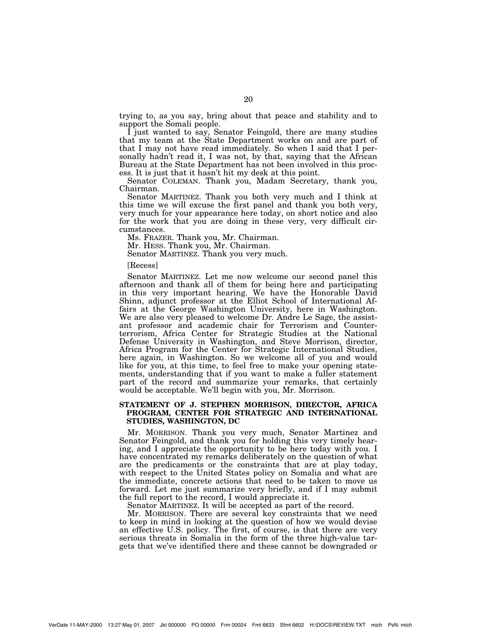trying to, as you say, bring about that peace and stability and to support the Somali people.

I just wanted to say, Senator Feingold, there are many studies that my team at the State Department works on and are part of that I may not have read immediately. So when I said that I personally hadn't read it, I was not, by that, saying that the African Bureau at the State Department has not been involved in this process. It is just that it hasn't hit my desk at this point.

Senator COLEMAN. Thank you, Madam Secretary, thank you, Chairman.

Senator MARTINEZ. Thank you both very much and I think at this time we will excuse the first panel and thank you both very, very much for your appearance here today, on short notice and also for the work that you are doing in these very, very difficult circumstances.

Ms. FRAZER. Thank you, Mr. Chairman.

Mr. HESS. Thank you, Mr. Chairman.

Senator MARTINEZ. Thank you very much.

#### | Recess |

Senator MARTINEZ. Let me now welcome our second panel this afternoon and thank all of them for being here and participating in this very important hearing. We have the Honorable David Shinn, adjunct professor at the Elliot School of International Affairs at the George Washington University, here in Washington. We are also very pleased to welcome Dr. Andre Le Sage, the assistant professor and academic chair for Terrorism and Counterterrorism, Africa Center for Strategic Studies at the National Defense University in Washington, and Steve Morrison, director, Africa Program for the Center for Strategic International Studies, here again, in Washington. So we welcome all of you and would like for you, at this time, to feel free to make your opening statements, understanding that if you want to make a fuller statement part of the record and summarize your remarks, that certainly would be acceptable. We'll begin with you, Mr. Morrison.

### **STATEMENT OF J. STEPHEN MORRISON, DIRECTOR, AFRICA PROGRAM, CENTER FOR STRATEGIC AND INTERNATIONAL STUDIES, WASHINGTON, DC**

Mr. MORRISON. Thank you very much, Senator Martinez and Senator Feingold, and thank you for holding this very timely hearing, and I appreciate the opportunity to be here today with you. I have concentrated my remarks deliberately on the question of what are the predicaments or the constraints that are at play today, with respect to the United States policy on Somalia and what are the immediate, concrete actions that need to be taken to move us forward. Let me just summarize very briefly, and if I may submit the full report to the record, I would appreciate it.

Senator MARTINEZ. It will be accepted as part of the record.

Mr. MORRISON. There are several key constraints that we need to keep in mind in looking at the question of how we would devise an effective U.S. policy. The first, of course, is that there are very serious threats in Somalia in the form of the three high-value targets that we've identified there and these cannot be downgraded or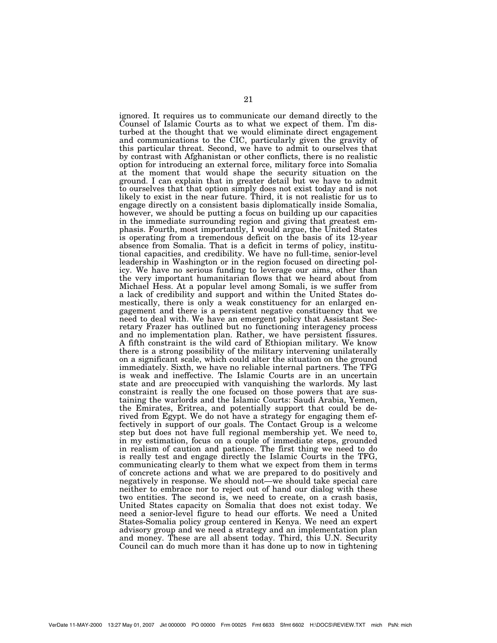ignored. It requires us to communicate our demand directly to the Counsel of Islamic Courts as to what we expect of them. I'm disturbed at the thought that we would eliminate direct engagement and communications to the CIC, particularly given the gravity of this particular threat. Second, we have to admit to ourselves that by contrast with Afghanistan or other conflicts, there is no realistic option for introducing an external force, military force into Somalia at the moment that would shape the security situation on the ground. I can explain that in greater detail but we have to admit to ourselves that that option simply does not exist today and is not likely to exist in the near future. Third, it is not realistic for us to engage directly on a consistent basis diplomatically inside Somalia, however, we should be putting a focus on building up our capacities in the immediate surrounding region and giving that greatest emphasis. Fourth, most importantly, I would argue, the United States is operating from a tremendous deficit on the basis of its 12-year absence from Somalia. That is a deficit in terms of policy, institutional capacities, and credibility. We have no full-time, senior-level leadership in Washington or in the region focused on directing policy. We have no serious funding to leverage our aims, other than the very important humanitarian flows that we heard about from Michael Hess. At a popular level among Somali, is we suffer from a lack of credibility and support and within the United States domestically, there is only a weak constituency for an enlarged engagement and there is a persistent negative constituency that we need to deal with. We have an emergent policy that Assistant Secretary Frazer has outlined but no functioning interagency process and no implementation plan. Rather, we have persistent fissures. A fifth constraint is the wild card of Ethiopian military. We know there is a strong possibility of the military intervening unilaterally on a significant scale, which could alter the situation on the ground immediately. Sixth, we have no reliable internal partners. The TFG is weak and ineffective. The Islamic Courts are in an uncertain state and are preoccupied with vanquishing the warlords. My last constraint is really the one focused on those powers that are sustaining the warlords and the Islamic Courts: Saudi Arabia, Yemen, the Emirates, Eritrea, and potentially support that could be derived from Egypt. We do not have a strategy for engaging them effectively in support of our goals. The Contact Group is a welcome step but does not have full regional membership yet. We need to, in my estimation, focus on a couple of immediate steps, grounded in realism of caution and patience. The first thing we need to do is really test and engage directly the Islamic Courts in the TFG, communicating clearly to them what we expect from them in terms of concrete actions and what we are prepared to do positively and negatively in response. We should not—we should take special care neither to embrace nor to reject out of hand our dialog with these two entities. The second is, we need to create, on a crash basis, United States capacity on Somalia that does not exist today. We need a senior-level figure to head our efforts. We need a United States-Somalia policy group centered in Kenya. We need an expert advisory group and we need a strategy and an implementation plan and money. These are all absent today. Third, this U.N. Security Council can do much more than it has done up to now in tightening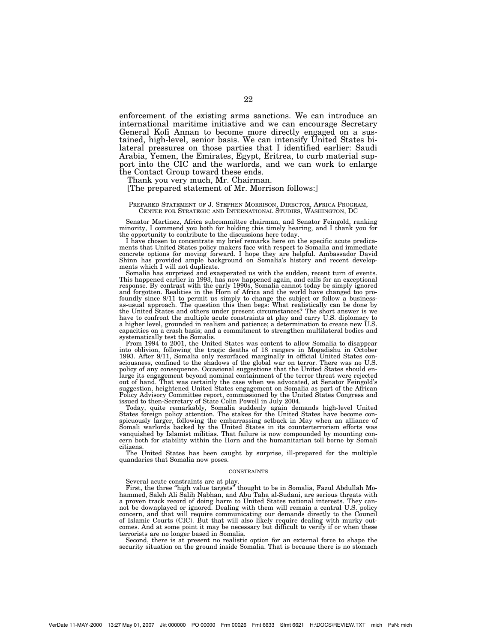enforcement of the existing arms sanctions. We can introduce an international maritime initiative and we can encourage Secretary General Kofi Annan to become more directly engaged on a sustained, high-level, senior basis. We can intensify United States bilateral pressures on those parties that I identified earlier: Saudi Arabia, Yemen, the Emirates, Egypt, Eritrea, to curb material support into the CIC and the warlords, and we can work to enlarge the Contact Group toward these ends.

Thank you very much, Mr. Chairman.

#### [The prepared statement of Mr. Morrison follows:]

# PREPARED STATEMENT OF J. STEPHEN MORRISON, DIRECTOR, AFRICA PROGRAM, CENTER FOR STRATEGIC AND INTERNATIONAL STUDIES, WASHINGTON, DC

Senator Martinez, Africa subcommittee chairman, and Senator Feingold, ranking minority, I commend you both for holding this timely hearing, and I thank you for the opportunity to contribute to the discussions here today.

I have chosen to concentrate my brief remarks here on the specific acute predicaments that United States policy makers face with respect to Somalia and immediate concrete options for moving forward. I hope they are helpful. Ambassador David Shinn has provided ample background on Somalia's history and recent developments which I will not duplicate.

Somalia has surprised and exasperated us with the sudden, recent turn of events. This happened earlier in 1993, has now happened again, and calls for an exceptional response. By contrast with the early 1990s, Somalia cannot today be simply ignored and forgotten. Realities in the Horn of Africa and the world have changed too pro-<br>foundly since 9/11 to permit us simply to change the subject or follow a business-<br>as-usual approach. The question this then begs: What rea have to confront the multiple acute constraints at play and carry U.S. diplomacy to a higher level, grounded in realism and patience; a determination to create new U.S. capacities on a crash basis; and a commitment to strengthen multilateral bodies and systematically test the Somalis.

From 1994 to 2001, the United States was content to allow Somalia to disappear into oblivion, following the tragic deaths of 18 rangers in Mogadishu in October 1993. After 9/11, Somalia only resurfaced marginally in official United States con-sciousness, confined to the shadows of the global war on terror. There was no U.S. policy of any consequence. Occasional suggestions that the United States should enlarge its engagement beyond nominal containment of the terror threat were rejected out of hand. That was certainly the case when we advocated, at Senator Feingold's<br>suggestion, heightened United States engagement on Somalia as part of the African<br>Policy Advisory Committee report, commissioned by the Unit

Today, quite remarkably, Somalia suddenly again demands high-level United States foreign policy attention. The stakes for the United States have become conspicuously larger, following the embarrassing setback in May when an alliance of Somali warlords backed by the United States in its counterterrorism efforts was vanquished by Islamist militias. That failure is now compounded by mounting concern both for stability within the Horn and the humanitarian toll borne by Somali citizens.

The United States has been caught by surprise, ill-prepared for the multiple quandaries that Somalia now poses.

#### **CONSTRAINTS**

Several acute constraints are at play.

First, the three ''high value targets'' thought to be in Somalia, Fazul Abdullah Mohammed, Saleh Ali Salih Nabhan, and Abu Taha al-Sudani, are serious threats with a proven track record of doing harm to United States national interests. They cannot be downplayed or ignored. Dealing with them will remain a central U.S. policy concern, and that will require communicating our demands directly to the Council of Islamic Courts (CIC). But that will also likely require dealing with murky outcomes. And at some point it may be necessary but difficult to verify if or when these terrorists are no longer based in Somalia.

Second, there is at present no realistic option for an external force to shape the security situation on the ground inside Somalia. That is because there is no stomach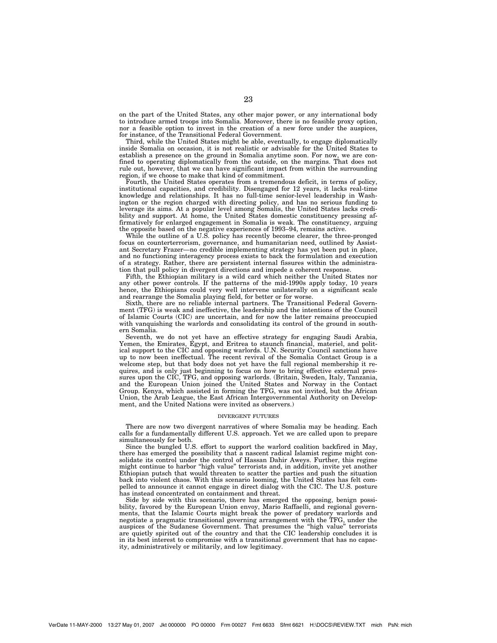on the part of the United States, any other major power, or any international body to introduce armed troops into Somalia. Moreover, there is no feasible proxy option, nor a feasible option to invest in the creation of a new force under the auspices, for instance, of the Transitional Federal Government.

Third, while the United States might be able, eventually, to engage diplomatically inside Somalia on occasion, it is not realistic or advisable for the United States to establish a presence on the ground in Somalia anytime soon. For now, we are confined to operating diplomatically from the outside, on the margins. That does not rule out, however, that we can have significant impact from within the surrounding region, if we choose to make that kind of commitment.

Fourth, the United States operates from a tremendous deficit, in terms of policy, institutional capacities, and credibility. Disengaged for 12 years, it lacks real-time knowledge and relationships. It has no full-time senior-level leadership in Washington or the region charged with directing policy, and has no serious funding to leverage its aims. At a popular level among Somalis, the United States lacks credibility and support. At home, the United States domestic constituency pressing affirmatively for enlarged engagement in Somalia is weak. The constituency, arguing the opposite based on the negative experiences of 1993–94, remains active.

While the outline of a U.S. policy has recently become clearer, the three-pronged focus on counterterrorism, governance, and humanitarian need, outlined by Assistant Secretary Frazer—no credible implementing strategy has yet been put in place, and no functioning interagency process exists to back the formulation and execution of a strategy. Rather, there are persistent internal fissures within the administration that pull policy in divergent directions and impede a coherent response.

Fifth, the Ethiopian military is a wild card which neither the United States nor any other power controls. If the patterns of the mid-1990s apply today, 10 years hence, the Ethiopians could very well intervene unilaterally on a significant scale and rearrange the Somalia playing field, for better or for worse.

Sixth, there are no reliable internal partners. The Transitional Federal Government (TFG) is weak and ineffective, the leadership and the intentions of the Council of Islamic Courts (CIC) are uncertain, and for now the latter remains preoccupied with vanquishing the warlords and consolidating its control of the ground in southern Somalia.

Seventh, we do not yet have an effective strategy for engaging Saudi Arabia, Yemen, the Emirates, Egypt, and Eritrea to staunch financial, materiel, and political support to the CIC and opposing warlords. U.N. Security Council sanctions have up to now been ineffectual. The recent revival of the Somalia Contact Group is a welcome step, but that body does not yet have the full regional membership it requires, and is only just beginning to focus on how to bring effective external pressures upon the CIC, TFG, and opposing warlords. (Britain, Sweden, Italy, Tanzania, and the European Union joined the United States and Norway in the Contact Group. Kenya, which assisted in forming the TFG, was not invited, but the African Union, the Arab League, the East African Intergovernmental Authority on Development, and the United Nations were invited as observers.)

#### DIVERGENT FUTURES

There are now two divergent narratives of where Somalia may be heading. Each calls for a fundamentally different U.S. approach. Yet we are called upon to prepare simultaneously for both.

Since the bungled U.S. effort to support the warlord coalition backfired in May, there has emerged the possibility that a nascent radical Islamist regime might consolidate its control under the control of Hassan Dahir Aweys. Further, this regime might continue to harbor ''high value'' terrorists and, in addition, invite yet another Ethiopian putsch that would threaten to scatter the parties and push the situation back into violent chaos. With this scenario looming, the United States has felt compelled to announce it cannot engage in direct dialog with the CIC. The U.S. posture has instead concentrated on containment and threat.

Side by side with this scenario, there has emerged the opposing, benign possibility, favored by the European Union envoy, Mario Raffaelli, and regional governments, that the Islamic Courts might break the power of predatory warlords and negotiate a pragmatic transitional governing arrangement with the TFG, under the auspices of the Sudanese Government. That presumes the "high value" terrorists are quietly spirited out of the country and that the CIC leadership concludes it is in its best interest to compromise with a transitional government that has no capacity, administratively or militarily, and low legitimacy.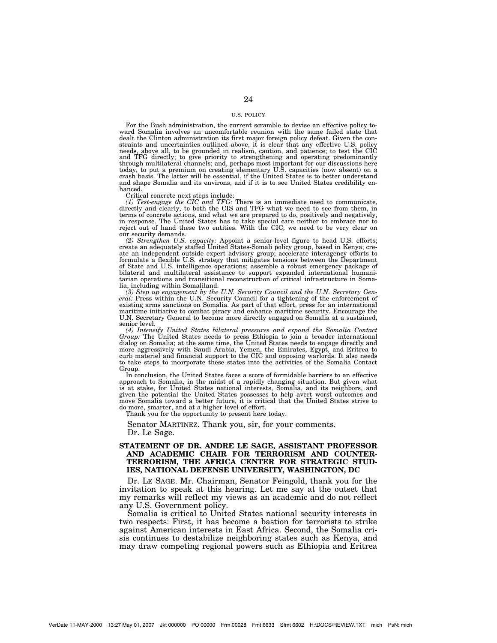#### U.S. POLICY

For the Bush administration, the current scramble to devise an effective policy toward Somalia involves an uncomfortable reunion with the same failed state that dealt the Clinton administration its first major foreign policy defeat. Given the constraints and uncertainties outlined above, it is clear that any effective U.S. policy needs, above all, to be grounded in realism, caution, and patience; to test the CIC and TFG directly; to give priority to strengthening and operating predominantly<br>through multilateral channels; and, perhaps most important for our discussions here<br>today, to put a premium on creating elementary U.S. capaci crash basis. The latter will be essential, if the United States is to better understand and shape Somalia and its environs, and if it is to see United States credibility enhanced.

Critical concrete next steps include:

*(1) Test-engage the CIC and TFG:* There is an immediate need to communicate, directly and clearly, to both the CIS and TFG what we need to see from them, in terms of concrete actions, and what we are prepared to do, positively and negatively, in response. The United States has to take special care neither to embrace nor to reject out of hand these two entities. With the CIC, we need to be very clear on our security demands.

*(2) Strengthen U.S. capacity:* Appoint a senior-level figure to head U.S. efforts; create an adequately staffed United States-Somali policy group, based in Kenya; create an independent outside expert advisory group; accelerate interagency efforts to formulate a flexible U.S. strategy that mitigates tensions between the Department of State and U.S. intelligence operations; assemble a robust emergency package of bilateral and multilateral assistance to support expanded international humanitarian operations and transitional reconstruction of critical infrastructure in Somalia, including within Somaliland.

*(3) Step up engagement by the U.N. Security Council and the U.N. Secretary Gen-eral:* Press within the U.N. Security Council for a tightening of the enforcement of existing arms sanctions on Somalia. As part of that effort, press for an international<br>maritime initiative to combat piracy and enhance maritime security. Encourage the<br>U.N. Secretary General to become more directly engage senior level.

*(4) Intensify United States bilateral pressures and expand the Somalia Contact Group:* The United States needs to press Ethiopia to join a broader international dialog on Somalia; at the same time, the United States needs to engage directly and more aggressively with Saudi Arabia, Yemen, the Emirates, Egypt, and Eritrea to curb materiel and financial support to the CIC and opposing warlords. It also needs to take steps to incorporate these states into the activities of the Somalia Contact Group.

In conclusion, the United States faces a score of formidable barriers to an effective approach to Somalia, in the midst of a rapidly changing situation. But given what is at stake, for United States national interests, Somalia, and its neighbors, and given the potential the United States possesses to help avert worst outcomes and move Somalia toward a better future, it is critical that the United States strive to do more, smarter, and at a higher level of effort.

Thank you for the opportunity to present here today.

Senator MARTINEZ. Thank you, sir, for your comments. Dr. Le Sage.

# **STATEMENT OF DR. ANDRE LE SAGE, ASSISTANT PROFESSOR AND ACADEMIC CHAIR FOR TERRORISM AND COUNTER-TERRORISM, THE AFRICA CENTER FOR STRATEGIC STUD-IES, NATIONAL DEFENSE UNIVERSITY, WASHINGTON, DC**

Dr. LE SAGE. Mr. Chairman, Senator Feingold, thank you for the invitation to speak at this hearing. Let me say at the outset that my remarks will reflect my views as an academic and do not reflect any U.S. Government policy.

Somalia is critical to United States national security interests in two respects: First, it has become a bastion for terrorists to strike against American interests in East Africa. Second, the Somalia crisis continues to destabilize neighboring states such as Kenya, and may draw competing regional powers such as Ethiopia and Eritrea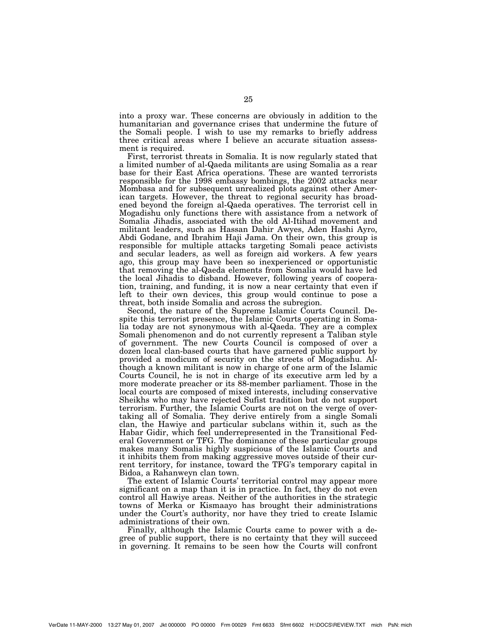into a proxy war. These concerns are obviously in addition to the humanitarian and governance crises that undermine the future of the Somali people. I wish to use my remarks to briefly address three critical areas where I believe an accurate situation assessment is required.

First, terrorist threats in Somalia. It is now regularly stated that a limited number of al-Qaeda militants are using Somalia as a rear base for their East Africa operations. These are wanted terrorists responsible for the 1998 embassy bombings, the 2002 attacks near Mombasa and for subsequent unrealized plots against other American targets. However, the threat to regional security has broadened beyond the foreign al-Qaeda operatives. The terrorist cell in Mogadishu only functions there with assistance from a network of Somalia Jihadis, associated with the old Al-Itihad movement and militant leaders, such as Hassan Dahir Awyes, Aden Hashi Ayro, Abdi Godane, and Ibrahim Haji Jama. On their own, this group is responsible for multiple attacks targeting Somali peace activists and secular leaders, as well as foreign aid workers. A few years ago, this group may have been so inexperienced or opportunistic that removing the al-Qaeda elements from Somalia would have led the local Jihadis to disband. However, following years of cooperation, training, and funding, it is now a near certainty that even if left to their own devices, this group would continue to pose a threat, both inside Somalia and across the subregion.

Second, the nature of the Supreme Islamic Courts Council. Despite this terrorist presence, the Islamic Courts operating in Somalia today are not synonymous with al-Qaeda. They are a complex Somali phenomenon and do not currently represent a Taliban style of government. The new Courts Council is composed of over a dozen local clan-based courts that have garnered public support by provided a modicum of security on the streets of Mogadishu. Although a known militant is now in charge of one arm of the Islamic Courts Council, he is not in charge of its executive arm led by a more moderate preacher or its 88-member parliament. Those in the local courts are composed of mixed interests, including conservative Sheikhs who may have rejected Sufist tradition but do not support terrorism. Further, the Islamic Courts are not on the verge of overtaking all of Somalia. They derive entirely from a single Somali clan, the Hawiye and particular subclans within it, such as the Habar Gidir, which feel underrepresented in the Transitional Federal Government or TFG. The dominance of these particular groups makes many Somalis highly suspicious of the Islamic Courts and it inhibits them from making aggressive moves outside of their current territory, for instance, toward the TFG's temporary capital in Bidoa, a Rahanweyn clan town.

The extent of Islamic Courts' territorial control may appear more significant on a map than it is in practice. In fact, they do not even control all Hawiye areas. Neither of the authorities in the strategic towns of Merka or Kismaayo has brought their administrations under the Court's authority, nor have they tried to create Islamic administrations of their own.

Finally, although the Islamic Courts came to power with a degree of public support, there is no certainty that they will succeed in governing. It remains to be seen how the Courts will confront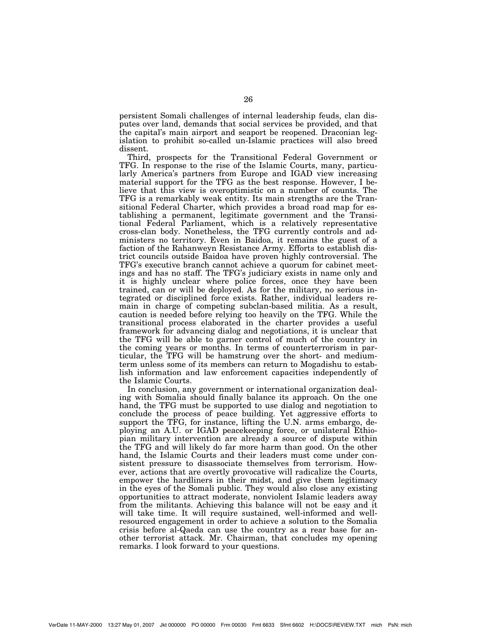persistent Somali challenges of internal leadership feuds, clan disputes over land, demands that social services be provided, and that the capital's main airport and seaport be reopened. Draconian legislation to prohibit so-called un-Islamic practices will also breed dissent.

Third, prospects for the Transitional Federal Government or TFG. In response to the rise of the Islamic Courts, many, particularly America's partners from Europe and IGAD view increasing material support for the TFG as the best response. However, I believe that this view is overoptimistic on a number of counts. The TFG is a remarkably weak entity. Its main strengths are the Transitional Federal Charter, which provides a broad road map for establishing a permanent, legitimate government and the Transitional Federal Parliament, which is a relatively representative cross-clan body. Nonetheless, the TFG currently controls and administers no territory. Even in Baidoa, it remains the guest of a faction of the Rahanweyn Resistance Army. Efforts to establish district councils outside Baidoa have proven highly controversial. The TFG's executive branch cannot achieve a quorum for cabinet meetings and has no staff. The TFG's judiciary exists in name only and it is highly unclear where police forces, once they have been trained, can or will be deployed. As for the military, no serious integrated or disciplined force exists. Rather, individual leaders remain in charge of competing subclan-based militia. As a result, caution is needed before relying too heavily on the TFG. While the transitional process elaborated in the charter provides a useful framework for advancing dialog and negotiations, it is unclear that the TFG will be able to garner control of much of the country in the coming years or months. In terms of counterterrorism in particular, the TFG will be hamstrung over the short- and mediumterm unless some of its members can return to Mogadishu to establish information and law enforcement capacities independently of the Islamic Courts.

In conclusion, any government or international organization dealing with Somalia should finally balance its approach. On the one hand, the TFG must be supported to use dialog and negotiation to conclude the process of peace building. Yet aggressive efforts to support the TFG, for instance, lifting the U.N. arms embargo, deploying an A.U. or IGAD peacekeeping force, or unilateral Ethiopian military intervention are already a source of dispute within the TFG and will likely do far more harm than good. On the other hand, the Islamic Courts and their leaders must come under consistent pressure to disassociate themselves from terrorism. However, actions that are overtly provocative will radicalize the Courts, empower the hardliners in their midst, and give them legitimacy in the eyes of the Somali public. They would also close any existing opportunities to attract moderate, nonviolent Islamic leaders away from the militants. Achieving this balance will not be easy and it will take time. It will require sustained, well-informed and wellresourced engagement in order to achieve a solution to the Somalia crisis before al-Qaeda can use the country as a rear base for another terrorist attack. Mr. Chairman, that concludes my opening remarks. I look forward to your questions.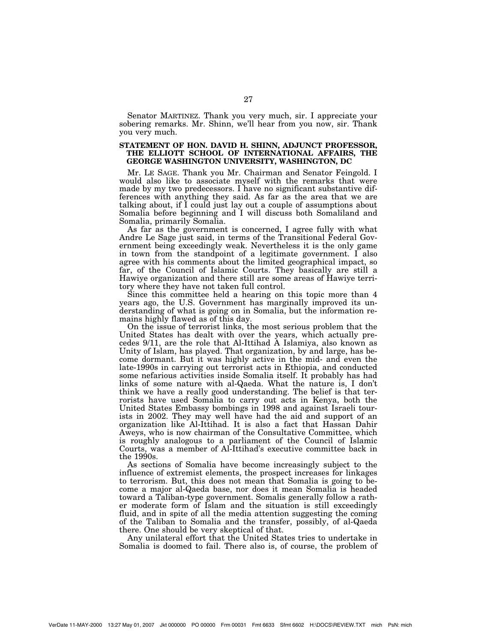Senator MARTINEZ. Thank you very much, sir. I appreciate your sobering remarks. Mr. Shinn, we'll hear from you now, sir. Thank you very much.

# **STATEMENT OF HON. DAVID H. SHINN, ADJUNCT PROFESSOR, THE ELLIOTT SCHOOL OF INTERNATIONAL AFFAIRS, THE GEORGE WASHINGTON UNIVERSITY, WASHINGTON, DC**

Mr. LE SAGE. Thank you Mr. Chairman and Senator Feingold. I would also like to associate myself with the remarks that were made by my two predecessors. I have no significant substantive differences with anything they said. As far as the area that we are talking about, if I could just lay out a couple of assumptions about Somalia before beginning and I will discuss both Somaliland and Somalia, primarily Somalia.

As far as the government is concerned, I agree fully with what Andre Le Sage just said, in terms of the Transitional Federal Government being exceedingly weak. Nevertheless it is the only game in town from the standpoint of a legitimate government. I also agree with his comments about the limited geographical impact, so far, of the Council of Islamic Courts. They basically are still a Hawiye organization and there still are some areas of Hawiye territory where they have not taken full control.

Since this committee held a hearing on this topic more than 4 years ago, the U.S. Government has marginally improved its understanding of what is going on in Somalia, but the information remains highly flawed as of this day.

On the issue of terrorist links, the most serious problem that the United States has dealt with over the years, which actually precedes 9/11, are the role that Al-Ittihad A Islamiya, also known as Unity of Islam, has played. That organization, by and large, has become dormant. But it was highly active in the mid- and even the late-1990s in carrying out terrorist acts in Ethiopia, and conducted some nefarious activities inside Somalia itself. It probably has had links of some nature with al-Qaeda. What the nature is, I don't think we have a really good understanding. The belief is that terrorists have used Somalia to carry out acts in Kenya, both the United States Embassy bombings in 1998 and against Israeli tourists in 2002. They may well have had the aid and support of an organization like Al-Ittihad. It is also a fact that Hassan Dahir Aweys, who is now chairman of the Consultative Committee, which is roughly analogous to a parliament of the Council of Islamic Courts, was a member of Al-Ittihad's executive committee back in the 1990s.

As sections of Somalia have become increasingly subject to the influence of extremist elements, the prospect increases for linkages to terrorism. But, this does not mean that Somalia is going to become a major al-Qaeda base, nor does it mean Somalia is headed toward a Taliban-type government. Somalis generally follow a rather moderate form of Islam and the situation is still exceedingly fluid, and in spite of all the media attention suggesting the coming of the Taliban to Somalia and the transfer, possibly, of al-Qaeda there. One should be very skeptical of that.

Any unilateral effort that the United States tries to undertake in Somalia is doomed to fail. There also is, of course, the problem of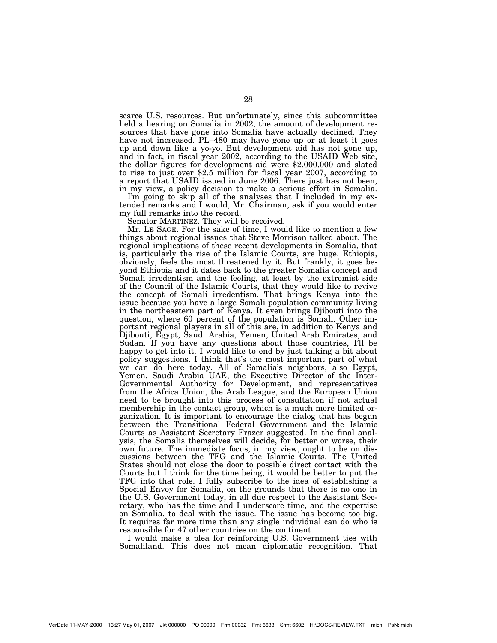scarce U.S. resources. But unfortunately, since this subcommittee held a hearing on Somalia in 2002, the amount of development resources that have gone into Somalia have actually declined. They have not increased. PL–480 may have gone up or at least it goes up and down like a yo-yo. But development aid has not gone up, and in fact, in fiscal year 2002, according to the USAID Web site, the dollar figures for development aid were \$2,000,000 and slated to rise to just over \$2.5 million for fiscal year 2007, according to a report that USAID issued in June 2006. There just has not been, in my view, a policy decision to make a serious effort in Somalia.

I'm going to skip all of the analyses that I included in my extended remarks and I would, Mr. Chairman, ask if you would enter my full remarks into the record.

Senator MARTINEZ. They will be received.

Mr. LE SAGE. For the sake of time, I would like to mention a few things about regional issues that Steve Morrison talked about. The regional implications of these recent developments in Somalia, that is, particularly the rise of the Islamic Courts, are huge. Ethiopia, obviously, feels the most threatened by it. But frankly, it goes beyond Ethiopia and it dates back to the greater Somalia concept and Somali irredentism and the feeling, at least by the extremist side of the Council of the Islamic Courts, that they would like to revive the concept of Somali irredentism. That brings Kenya into the issue because you have a large Somali population community living in the northeastern part of Kenya. It even brings Djibouti into the question, where 60 percent of the population is Somali. Other important regional players in all of this are, in addition to Kenya and Djibouti, Egypt, Saudi Arabia, Yemen, United Arab Emirates, and Sudan. If you have any questions about those countries, I'll be happy to get into it. I would like to end by just talking a bit about policy suggestions. I think that's the most important part of what we can do here today. All of Somalia's neighbors, also Egypt, Yemen, Saudi Arabia UAE, the Executive Director of the Inter-Governmental Authority for Development, and representatives from the Africa Union, the Arab League, and the European Union need to be brought into this process of consultation if not actual membership in the contact group, which is a much more limited organization. It is important to encourage the dialog that has begun between the Transitional Federal Government and the Islamic Courts as Assistant Secretary Frazer suggested. In the final analysis, the Somalis themselves will decide, for better or worse, their own future. The immediate focus, in my view, ought to be on discussions between the TFG and the Islamic Courts. The United States should not close the door to possible direct contact with the Courts but I think for the time being, it would be better to put the TFG into that role. I fully subscribe to the idea of establishing a Special Envoy for Somalia, on the grounds that there is no one in the U.S. Government today, in all due respect to the Assistant Secretary, who has the time and I underscore time, and the expertise on Somalia, to deal with the issue. The issue has become too big. It requires far more time than any single individual can do who is responsible for 47 other countries on the continent.

I would make a plea for reinforcing U.S. Government ties with Somaliland. This does not mean diplomatic recognition. That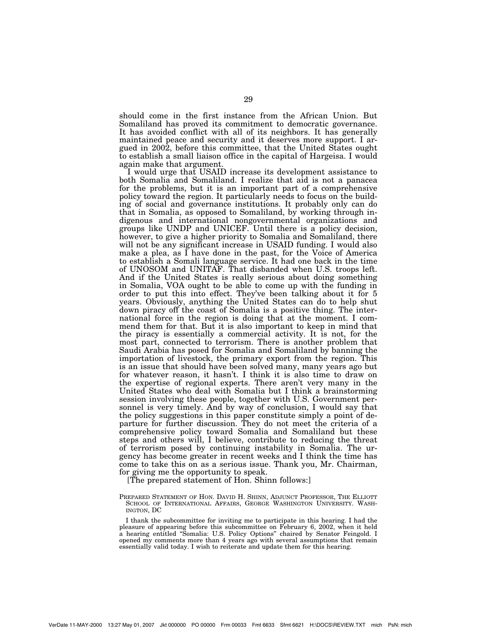should come in the first instance from the African Union. But Somaliland has proved its commitment to democratic governance. It has avoided conflict with all of its neighbors. It has generally maintained peace and security and it deserves more support. I argued in 2002, before this committee, that the United States ought to establish a small liaison office in the capital of Hargeisa. I would again make that argument.

I would urge that USAID increase its development assistance to both Somalia and Somaliland. I realize that aid is not a panacea for the problems, but it is an important part of a comprehensive policy toward the region. It particularly needs to focus on the building of social and governance institutions. It probably only can do that in Somalia, as opposed to Somaliland, by working through indigenous and international nongovernmental organizations and groups like UNDP and UNICEF. Until there is a policy decision, however, to give a higher priority to Somalia and Somaliland, there will not be any significant increase in USAID funding. I would also make a plea, as I have done in the past, for the Voice of America to establish a Somali language service. It had one back in the time of UNOSOM and UNITAF. That disbanded when U.S. troops left. And if the United States is really serious about doing something in Somalia, VOA ought to be able to come up with the funding in order to put this into effect. They've been talking about it for 5 years. Obviously, anything the United States can do to help shut down piracy off the coast of Somalia is a positive thing. The international force in the region is doing that at the moment. I commend them for that. But it is also important to keep in mind that the piracy is essentially a commercial activity. It is not, for the most part, connected to terrorism. There is another problem that Saudi Arabia has posed for Somalia and Somaliland by banning the importation of livestock, the primary export from the region. This is an issue that should have been solved many, many years ago but for whatever reason, it hasn't. I think it is also time to draw on the expertise of regional experts. There aren't very many in the United States who deal with Somalia but I think a brainstorming session involving these people, together with U.S. Government personnel is very timely. And by way of conclusion, I would say that the policy suggestions in this paper constitute simply a point of departure for further discussion. They do not meet the criteria of a comprehensive policy toward Somalia and Somaliland but these steps and others will, I believe, contribute to reducing the threat of terrorism posed by continuing instability in Somalia. The urgency has become greater in recent weeks and I think the time has come to take this on as a serious issue. Thank you, Mr. Chairman, for giving me the opportunity to speak.

[The prepared statement of Hon. Shinn follows:]

PREPARED STATEMENT OF HON. DAVID H. SHINN, ADJUNCT PROFESSOR, THE ELLIOTT SCHOOL OF INTERNATIONAL AFFAIRS, GEORGE WASHINGTON UNIVERSITY. WASH-INGTON, DC

I thank the subcommittee for inviting me to participate in this hearing. I had the pleasure of appearing before this subcommittee on February 6, 2002, when it held a hearing entitled ''Somalia: U.S. Policy Options'' chaired by Senator Feingold. I opened my comments more than 4 years ago with several assumptions that remain essentially valid today. I wish to reiterate and update them for this hearing.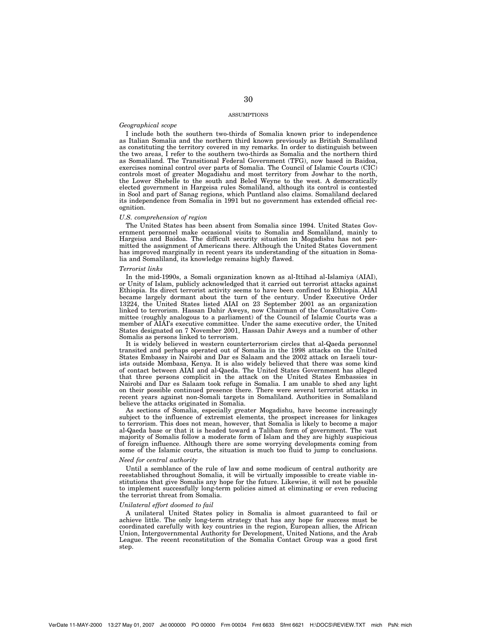#### ASSUMPTIONS

#### *Geographical scope*

I include both the southern two-thirds of Somalia known prior to independence as Italian Somalia and the northern third known previously as British Somaliland as constituting the territory covered in my remarks. In order to distinguish between the two areas, I refer to the southern two-thirds as Somalia and the northern third as Somaliland. The Transitional Federal Government (TFG), now based in Baidoa, exercises nominal control over parts of Somalia. The Council of Islamic Courts (CIC) controls most of greater Mogadishu and most territory from Jowhar to the north, the Lower Shebelle to the south and Beled Weyne to the west. A democratically elected government in Hargeisa rules Somaliland, although its control is contested in Sool and part of Sanag regions, which Puntland also claims. Somaliland declared its independence from Somalia in 1991 but no government has extended official recognition.

# *U.S. comprehension of region*

The United States has been absent from Somalia since 1994. United States Government personnel make occasional visits to Somalia and Somaliland, mainly to Hargeisa and Baidoa. The difficult security situation in Mogadishu has not permitted the assignment of Americans there. Although the United States Government has improved marginally in recent years its understanding of the situation in Somalia and Somaliland, its knowledge remains highly flawed.

#### *Terrorist links*

In the mid-1990s, a Somali organization known as al-Ittihad al-Islamiya (AIAI), or Unity of Islam, publicly acknowledged that it carried out terrorist attacks against Ethiopia. Its direct terrorist activity seems to have been confined to Ethiopia. AIAI became largely dormant about the turn of the century. Under Executive Order 13224, the United States listed AIAI on 23 September 2001 as an organization linked to terrorism. Hassan Dahir Aweys, now Chairman of the Consultative Committee (roughly analogous to a parliament) of the Council of Islamic Courts was a member of AIAI's executive committee. Under the same executive order, the United States designated on 7 November 2001, Hassan Dahir Aweys and a number of other Somalis as persons linked to terrorism.

It is widely believed in western counterterrorism circles that al-Qaeda personnel transited and perhaps operated out of Somalia in the 1998 attacks on the United States Embassy in Nairobi and Dar es Salaam and the 2002 attack on Israeli tourists outside Mombasa, Kenya. It is also widely believed that there was some kind of contact between AIAI and al-Qaeda. The United States Government has alleged that three persons complicit in the attack on the United States Embassies in Nairobi and Dar es Salaam took refuge in Somalia. I am unable to shed any light on their possible continued presence there. There were several terrorist attacks in recent years against non-Somali targets in Somaliland. Authorities in Somaliland believe the attacks originated in Somalia.

As sections of Somalia, especially greater Mogadishu, have become increasingly subject to the influence of extremist elements, the prospect increases for linkages to terrorism. This does not mean, however, that Somalia is likely to become a major al-Qaeda base or that it is headed toward a Taliban form of government. The vast majority of Somalis follow a moderate form of Islam and they are highly suspicious of foreign influence. Although there are some worrying developments coming from some of the Islamic courts, the situation is much too fluid to jump to conclusions.

#### *Need for central authority*

Until a semblance of the rule of law and some modicum of central authority are reestablished throughout Somalia, it will be virtually impossible to create viable institutions that give Somalis any hope for the future. Likewise, it will not be possible to implement successfully long-term policies aimed at eliminating or even reducing the terrorist threat from Somalia.

#### *Unilateral effort doomed to fail*

A unilateral United States policy in Somalia is almost guaranteed to fail or achieve little. The only long-term strategy that has any hope for success must be coordinated carefully with key countries in the region, European allies, the African Union, Intergovernmental Authority for Development, United Nations, and the Arab League. The recent reconstitution of the Somalia Contact Group was a good first step.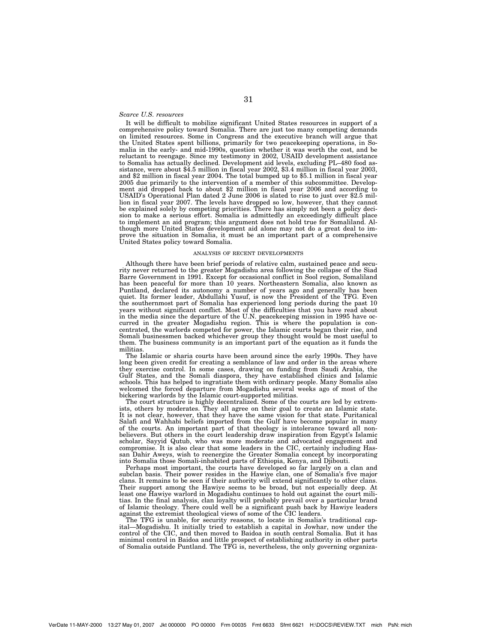#### *Scarce U.S. resources*

It will be difficult to mobilize significant United States resources in support of a comprehensive policy toward Somalia. There are just too many competing demands on limited resources. Some in Congress and the executive branch will argue that the United States spent billions, primarily for two peacekeeping operations, in Somalia in the early- and mid-1990s, question whether it was worth the cost, and be reluctant to reengage. Since my testimony in 2002, USAID development assistance to Somalia has actually declined. Development aid levels, excluding PL–480 food assistance, were about \$4.5 million in fiscal year 2002, \$3.4 million in fiscal year 2003, and \$2 million in fiscal year 2004. The total bumped up to \$5.1 million in fiscal year 2005 due primarily to the intervention of a member of this subcommittee. Development aid dropped back to about \$2 million in fiscal year 2006 and according to USAID's Operational Plan dated 2 June 2006 is slated to rise to just over \$2.5 million in fiscal year 2007. The levels have dropped so low, however, that they cannot be explained solely by competing priorities. There has simply not been a policy decision to make a serious effort. Somalia is admittedly an exceedingly difficult place to implement an aid program; this argument does not hold true for Somaliland. Although more United States development aid alone may not do a great deal to improve the situation in Somalia, it must be an important part of a comprehensive United States policy toward Somalia.

#### ANALYSIS OF RECENT DEVELOPMENTS

Although there have been brief periods of relative calm, sustained peace and security never returned to the greater Mogadishu area following the collapse of the Siad Barre Government in 1991. Except for occasional conflict in Sool region, Somaliland has been peaceful for more than 10 years. Northeastern Somalia, also known as Puntland, declared its autonomy a number of years ago and generally has been quiet. Its former leader, Abdullahi Yusuf, is now the President of the TFG. Even the southernmost part of Somalia has experienced long periods during the past 10 years without significant conflict. Most of the difficulties that you have read about in the media since the departure of the U.N. peacekeeping mission in 1995 have occurred in the greater Mogadishu region. This is where the population is concentrated, the warlords competed for power, the Islamic courts began their rise, and Somali businessmen backed whichever group they thought would be most useful to them. The business community is an important part of the equation as it funds the militias.

The Islamic or sharia courts have been around since the early 1990s. They have long been given credit for creating a semblance of law and order in the areas where they exercise control. In some cases, drawing on funding from Saudi Arabia, the Gulf States, and the Somali diaspora, they have established clinics and Islamic schools. This has helped to ingratiate them with ordinary people. Many Somalis also welcomed the forced departure from Mogadishu several weeks ago of most of the bickering warlords by the Islamic court-supported militias.

The court structure is highly decentralized. Some of the courts are led by extremists, others by moderates. They all agree on their goal to create an Islamic state. It is not clear, however, that they have the same vision for that state. Puritanical Salafi and Wahhabi beliefs imported from the Gulf have become popular in many of the courts. An important part of that theology is intolerance toward all nonbelievers. But others in the court leadership draw inspiration from Egypt's Islamic scholar, Sayyid Qutub, who was more moderate and advocated engagement and compromise. It is also clear that some leaders in the CIC, certainly including Hassan Dahir Aweys, wish to reenergize the Greater Somalia concept by incorporating into Somalia those Somali-inhabited parts of Ethiopia, Kenya, and Djibouti.

Perhaps most important, the courts have developed so far largely on a clan and subclan basis. Their power resides in the Hawiye clan, one of Somalia's five major clans. It remains to be seen if their authority will extend significantly to other clans. Their support among the Hawiye seems to be broad, but not especially deep. At least one Hawiye warlord in Mogadishu continues to hold out against the court militias. In the final analysis, clan loyalty will probably prevail over a particular brand of Islamic theology. There could well be a significant push back by Hawiye leaders against the extremist theological views of some of the CIC leaders.

The TFG is unable, for security reasons, to locate in Somalia's traditional capital—Mogadishu. It initially tried to establish a capital in Jowhar, now under the control of the CIC, and then moved to Baidoa in south central Somalia. But it has minimal control in Baidoa and little prospect of establishing authority in other parts of Somalia outside Puntland. The TFG is, nevertheless, the only governing organiza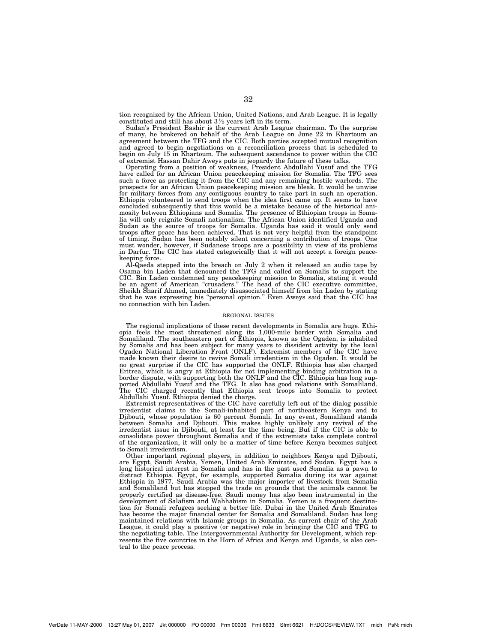tion recognized by the African Union, United Nations, and Arab League. It is legally constituted and still has about  $3\frac{1}{2}$  years left in its term.

Sudan's President Bashir is the current Arab League chairman. To the surprise of many, he brokered on behalf of the Arab League on June 22 in Khartoum an agreement between the TFG and the CIC. Both parties accepted mutual recognition and agreed to begin negotiations on a reconciliation process that is scheduled to begin on July 15 in Khartoum. The subsequent ascendance to power within the CIC of extremist Hassan Dahir Aweys puts in jeopardy the future of these talks.

Operating from a position of weakness, President Abdullahi Yusuf and the TFG have called for an African Union peacekeeping mission for Somalia. The TFG sees such a force as protecting it from the CIC and any remaining hostile warlords. The prospects for an African Union peacekeeping mission are bleak. It would be unwise for military forces from any contiguous country to take part in such an operation. Ethiopia volunteered to send troops when the idea first came up. It seems to have concluded subsequently that this would be a mistake because of the historical animosity between Ethiopians and Somalis. The presence of Ethiopian troops in Somalia will only reignite Somali nationalism. The African Union identified Uganda and<br>Sudan as the source of troops for Somalia. Uganda has said it would only send<br>troops after peace has been achieved. That is not very helpfu of timing. Sudan has been notably silent concerning a contribution of troops. One must wonder, however, if Sudanese troops are a possibility in view of its problems in Darfur. The CIC has stated categorically that it will not accept a foreign peacekeeping force.

Al-Qaeda stepped into the breach on July 2 when it released an audio tape by Osama bin Laden that denounced the TFG and called on Somalis to support the CIC. Bin Laden condemned any peacekeeping mission to Somalia, stating it would be an agent of American "crusaders." The head of the CIC executive committee, Sheikh Sharif Ahmed, immediately disassociated himself from bin Laden by stating that he was expressing his "personal opinion." Even Aweys said that the CIC has no connection with bin Laden.

#### REGIONAL ISSUES

The regional implications of these recent developments in Somalia are huge. Ethiopia feels the most threatened along its 1,000-mile border with Somalia and Somaliland. The southeastern part of Ethiopia, known as the Ogaden, is inhabited by Somalis and has been subject for many years to dissident activity by the local Ogaden National Liberation Front (ONLF). Extremist members of the CIC have made known their desire to revive Somali irredentism in the Ogaden. It would be no great surprise if the CIC has supported the ONLF. Ethiopia has also charged Eritrea, which is angry at Ethiopia for not implementing binding arbitration in a border dispute, with supporting both the ONLF and the CIC. Ethiopia has long supported Abdullahi Yusuf and the TFG. It also has good relations with Somaliland. The CIC charged recently that Ethiopia sent troops into Somalia to protect Abdullahi Yusuf. Ethiopia denied the charge.

Extremist representatives of the CIC have carefully left out of the dialog possible irredentist claims to the Somali-inhabited part of northeastern Kenya and to Djibouti, whose population is 60 percent Somali. In any event, Somaliland stands between Somalia and Djibouti. This makes highly unlikely any revival of the irredentist issue in Djibouti, at least for the time being. But if the CIC is able to consolidate power throughout Somalia and if the extremists take complete control of the organization, it will only be a matter of time before Kenya becomes subject to Somali irredentism.

Other important regional players, in addition to neighbors Kenya and Djibouti, are Egypt, Saudi Arabia, Yemen, United Arab Emirates, and Sudan. Egypt has a long historical interest in Somalia and has in the past used Somalia as a pawn to distract Ethiopia. Egypt, for example, supported Somalia during its war against Ethiopia in 1977. Saudi Arabia was the major importer of livestock from Somalia and Somaliland but has stopped the trade on grounds that the animals cannot be properly certified as disease-free. Saudi money has also been instrumental in the development of Salafism and Wahhabism in Somalia. Yemen is a frequent destination for Somali refugees seeking a better life. Dubai in the United Arab Emirates has become the major financial center for Somalia and Somaliland. Sudan has long maintained relations with Islamic groups in Somalia. As current chair of the Arab League, it could play a positive (or negative) role in bringing the CIC and TFG to the negotiating table. The Intergovernmental Authority for Development, which represents the five countries in the Horn of Africa and Kenya and Uganda, is also central to the peace process.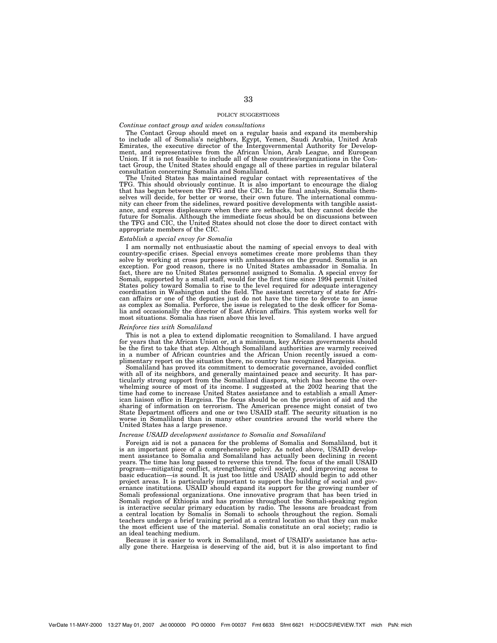#### POLICY SUGGESTIONS

#### *Continue contact group and widen consultations*

The Contact Group should meet on a regular basis and expand its membership to include all of Somalia's neighbors, Egypt, Yemen, Saudi Arabia, United Arab<br>Emirates, the executive director of the Intergovernmental Authority for Develop-<br>ment, and representatives from the African Union, Arab League, Union. If it is not feasible to include all of these countries/organizations in the Con-tact Group, the United States should engage all of these parties in regular bilateral consultation concerning Somalia and Somaliland. The United States has maintained regular contact with representatives of the

TFG. This should obviously continue. It is also important to encourage the dialog that has begun between the TFG and the CIC. In the final analysis, Somalis themselves will decide, for better or worse, their own future. The international community can cheer from the sidelines, reward positive developments with tangible assistance, and express displeasure when there are setbacks, but they cannot decide the future for Somalis. Although the immediate focus should be on discussions between the TFG and CIC, the United States should not close the door to direct contact with appropriate members of the CIC.

#### *Establish a special envoy for Somalia*

I am normally not enthusiastic about the naming of special envoys to deal with country-specific crises. Special envoys sometimes create more problems than they solve by working at cross purposes with ambassadors on the ground. Somalia is an exception. For good reason, there is no United States ambassador in Somalia. In fact, there are no United States personnel assigned to Somalia. A special envoy for<br>Somali, supported by a small staff, would for the first time since 1994 permit United<br>States policy toward Somalia to rise to the level re can affairs or one of the deputies just do not have the time to devote to an issue as complex as Somalia. Perforce, the issue is relegated to the desk officer for Somalia and occasionally the director of East African affairs. This system works well for most situations. Somalia has risen above this level.

#### *Reinforce ties with Somaliland*

This is not a plea to extend diplomatic recognition to Somaliland. I have argued for years that the African Union or, at a minimum, key African governments should be the first to take that step. Although Somaliland authorities are warmly received in a number of African countries and the African Union recently issued a complimentary report on the situation there, no country has recognized Hargeisa.

Somaliland has proved its commitment to democratic governance, avoided conflict with all of its neighbors, and generally maintained peace and security. It has par-ticularly strong support from the Somaliland diaspora, which has become the overwhelming source of most of its income. I suggested at the 2002 hearing that the time had come to increase United States assistance and to establish a small American liaison office in Hargeisa. The focus should be on the provision of aid and the sharing of information on terrorism. The American presence might consist of two State Department officers and one or two USAID staff. The security situation is no worse in Somaliland than in many other countries around the world where the United States has a large presence.

#### *Increase USAID development assistance to Somalia and Somaliland*

Foreign aid is not a panacea for the problems of Somalia and Somaliland, but it is an important piece of a comprehensive policy. As noted above, USAID development assistance to Somalia and Somaliland has actually been declining in recent years. The time has long passed to reverse this trend. The focus of the small USAID program—mitigating conflict, strengthening civil society, and improving access to basic education—is sound. It is just too little and USAID should begin to add other project areas. It is particularly important to support the building of social and governance institutions. USAID should expand its support for the growing number of Somali professional organizations. One innovative program that has been tried in Somali region of Ethiopia and has promise throughout the Somali-speaking region is interactive secular primary education by radio. The lessons are broadcast from a central location by Somalis in Somali to schools throughout the region. Somali teachers undergo a brief training period at a central location so that they can make the most efficient use of the material. Somalis constitute an oral society; radio is an ideal teaching medium.

Because it is easier to work in Somaliland, most of USAID's assistance has actually gone there. Hargeisa is deserving of the aid, but it is also important to find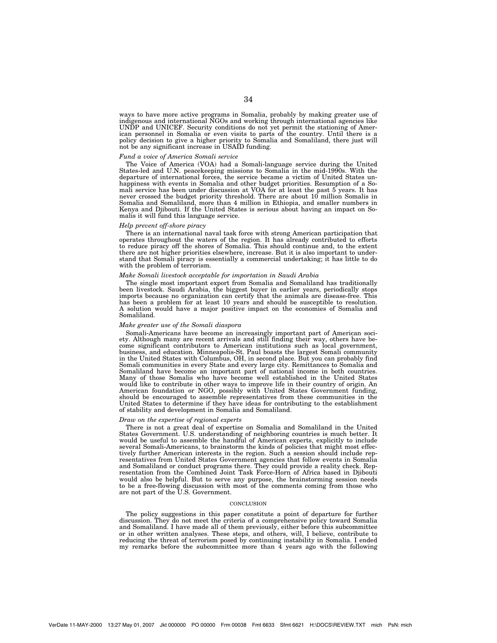ways to have more active programs in Somalia, probably by making greater use of indigenous and international NGOs and working through international agencies like UNDP and UNICEF. Security conditions do not yet permit the stationing of American personnel in Somalia or even visits to parts of the country. Until there is a policy decision to give a higher priority to Somalia and Somaliland, there just will not be any significant increase in USAID funding.

#### *Fund a voice of America Somali service*

The Voice of America (VOA) had a Somali-language service during the United States-led and U.N. peacekeeping missions to Somalia in the mid-1990s. With the departure of international forces, the service became a victim of United States unhappiness with events in Somalia and other budget priorities. Resumption of a Somali service has been under discussion at VOA for at least the past 5 years. It has never crossed the budget priority threshold. There are about 10 million Somalis in Somalia and Somaliland, more than 4 million in Ethiopia, and smaller numbers in Kenya and Djibouti. If the United States is serious about having an impact on Somalis it will fund this language service.

#### *Help prevent off-shore piracy*

There is an international naval task force with strong American participation that operates throughout the waters of the region. It has already contributed to efforts to reduce piracy off the shores of Somalia. This should continue and, to the extent there are not higher priorities elsewhere, increase. But it is also important to understand that Somali piracy is essentially a commercial undertaking; it has little to do with the problem of terrorism.

#### *Make Somali livestock acceptable for importation in Saudi Arabia*

The single most important export from Somalia and Somaliland has traditionally been livestock. Saudi Arabia, the biggest buyer in earlier years, periodically stops imports because no organization can certify that the animals are disease-free. This has been a problem for at least 10 years and should be susceptible to resolution. A solution would have a major positive impact on the economies of Somalia and Somaliland.

#### *Make greater use of the Somali diaspora*

Somali-Americans have become an increasingly important part of American soci-ety. Although many are recent arrivals and still finding their way, others have become significant contributors to American institutions such as local government, business, and education. Minneapolis-St. Paul boasts the largest Somali community in the United States with Columbus, OH, in second place. But you can probably find Somali communities in every State and every large city. Remittances to Somalia and Somaliland have become an important part of national income in both countries. Many of those Somalis who have become well established in the United States would like to contribute in other ways to improve life in their country of origin. An<br>American foundation or NGO, possibly with United States Government funding,<br>should be encouraged to assemble representatives from these United States to determine if they have ideas for contributing to the establishment of stability and development in Somalia and Somaliland.

#### *Draw on the expertise of regional experts*

There is not a great deal of expertise on Somalia and Somaliland in the United States Government. U.S. understanding of neighboring countries is much better. It would be useful to assemble the handful of American experts, explicitly to include several Somali-Americans, to brainstorm the kinds of policies that might most effectively further American interests in the region. Such a session should include representatives from United States Government agencies that follow events in Somalia and Somaliland or conduct programs there. They could provide a reality check. Representation from the Combined Joint Task Force-Horn of Africa based in Djibouti would also be helpful. But to serve any purpose, the brainstorming session needs to be a free-flowing discussion with most of the comments coming from those who are not part of the U.S. Government.

#### **CONCLUSION**

The policy suggestions in this paper constitute a point of departure for further discussion. They do not meet the criteria of a comprehensive policy toward Somalia and Somaliland. I have made all of them previously, either before this subcommittee or in other written analyses. These steps, and others, will, I believe, contribute to reducing the threat of terrorism posed by continuing instability in Somalia. I ended my remarks before the subcommittee more than 4 years ago with the following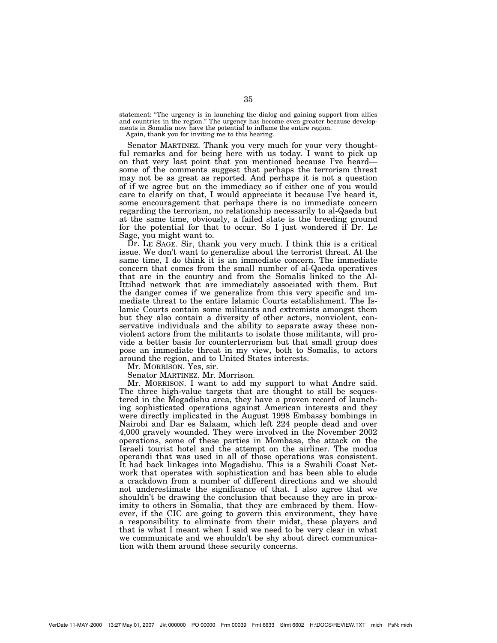statement: ''The urgency is in launching the dialog and gaining support from allies and countries in the region.'' The urgency has become even greater because developments in Somalia now have the potential to inflame the entire region.

Again, thank you for inviting me to this hearing.

Senator MARTINEZ. Thank you very much for your very thoughtful remarks and for being here with us today. I want to pick up on that very last point that you mentioned because I've heard some of the comments suggest that perhaps the terrorism threat may not be as great as reported. And perhaps it is not a question of if we agree but on the immediacy so if either one of you would care to clarify on that, I would appreciate it because I've heard it, some encouragement that perhaps there is no immediate concern regarding the terrorism, no relationship necessarily to al-Qaeda but at the same time, obviously, a failed state is the breeding ground for the potential for that to occur. So I just wondered if Dr. Le Sage, you might want to.

Dr. LE SAGE. Sir, thank you very much. I think this is a critical issue. We don't want to generalize about the terrorist threat. At the same time, I do think it is an immediate concern. The immediate concern that comes from the small number of al-Qaeda operatives that are in the country and from the Somalis linked to the Al-Ittihad network that are immediately associated with them. But the danger comes if we generalize from this very specific and immediate threat to the entire Islamic Courts establishment. The Islamic Courts contain some militants and extremists amongst them but they also contain a diversity of other actors, nonviolent, conservative individuals and the ability to separate away these nonviolent actors from the militants to isolate those militants, will provide a better basis for counterterrorism but that small group does pose an immediate threat in my view, both to Somalis, to actors around the region, and to United States interests.

Mr. MORRISON. Yes, sir.

Senator MARTINEZ. Mr. Morrison.

Mr. MORRISON. I want to add my support to what Andre said. The three high-value targets that are thought to still be sequestered in the Mogadishu area, they have a proven record of launching sophisticated operations against American interests and they were directly implicated in the August 1998 Embassy bombings in Nairobi and Dar es Salaam, which left 224 people dead and over 4,000 gravely wounded. They were involved in the November 2002 operations, some of these parties in Mombasa, the attack on the Israeli tourist hotel and the attempt on the airliner. The modus operandi that was used in all of those operations was consistent. It had back linkages into Mogadishu. This is a Swahili Coast Network that operates with sophistication and has been able to elude a crackdown from a number of different directions and we should not underestimate the significance of that. I also agree that we shouldn't be drawing the conclusion that because they are in proximity to others in Somalia, that they are embraced by them. However, if the CIC are going to govern this environment, they have a responsibility to eliminate from their midst, these players and that is what I meant when I said we need to be very clear in what we communicate and we shouldn't be shy about direct communication with them around these security concerns.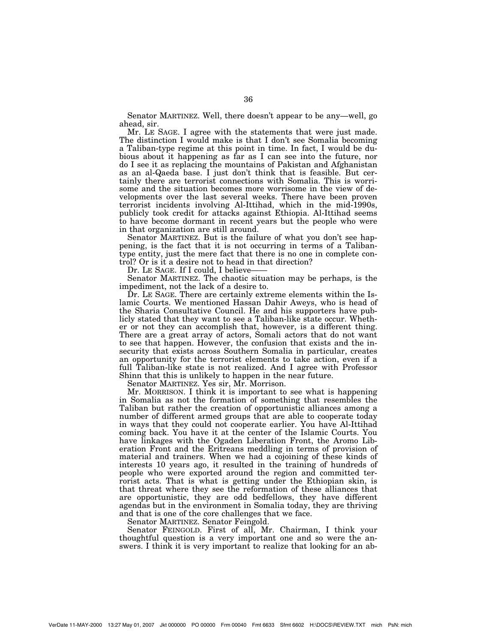Senator MARTINEZ. Well, there doesn't appear to be any—well, go ahead, sir.

Mr. LE SAGE. I agree with the statements that were just made. The distinction I would make is that I don't see Somalia becoming a Taliban-type regime at this point in time. In fact, I would be dubious about it happening as far as I can see into the future, nor do I see it as replacing the mountains of Pakistan and Afghanistan as an al-Qaeda base. I just don't think that is feasible. But certainly there are terrorist connections with Somalia. This is worrisome and the situation becomes more worrisome in the view of developments over the last several weeks. There have been proven terrorist incidents involving Al-Ittihad, which in the mid-1990s, publicly took credit for attacks against Ethiopia. Al-Ittihad seems to have become dormant in recent years but the people who were in that organization are still around.

Senator MARTINEZ. But is the failure of what you don't see happening, is the fact that it is not occurring in terms of a Talibantype entity, just the mere fact that there is no one in complete control? Or is it a desire not to head in that direction?

Dr. LE SAGE. If I could, I believe-

Senator MARTINEZ. The chaotic situation may be perhaps, is the impediment, not the lack of a desire to.

Dr. LE SAGE. There are certainly extreme elements within the Islamic Courts. We mentioned Hassan Dahir Aweys, who is head of the Sharia Consultative Council. He and his supporters have publicly stated that they want to see a Taliban-like state occur. Whether or not they can accomplish that, however, is a different thing. There are a great array of actors, Somali actors that do not want to see that happen. However, the confusion that exists and the insecurity that exists across Southern Somalia in particular, creates an opportunity for the terrorist elements to take action, even if a full Taliban-like state is not realized. And I agree with Professor Shinn that this is unlikely to happen in the near future.

Senator MARTINEZ. Yes sir, Mr. Morrison.

Mr. MORRISON. I think it is important to see what is happening in Somalia as not the formation of something that resembles the Taliban but rather the creation of opportunistic alliances among a number of different armed groups that are able to cooperate today in ways that they could not cooperate earlier. You have Al-Ittihad coming back. You have it at the center of the Islamic Courts. You have linkages with the Ogaden Liberation Front, the Aromo Liberation Front and the Eritreans meddling in terms of provision of material and trainers. When we had a cojoining of these kinds of interests 10 years ago, it resulted in the training of hundreds of people who were exported around the region and committed terrorist acts. That is what is getting under the Ethiopian skin, is that threat where they see the reformation of these alliances that are opportunistic, they are odd bedfellows, they have different agendas but in the environment in Somalia today, they are thriving and that is one of the core challenges that we face.

Senator MARTINEZ. Senator Feingold.

Senator FEINGOLD. First of all, Mr. Chairman, I think your thoughtful question is a very important one and so were the answers. I think it is very important to realize that looking for an ab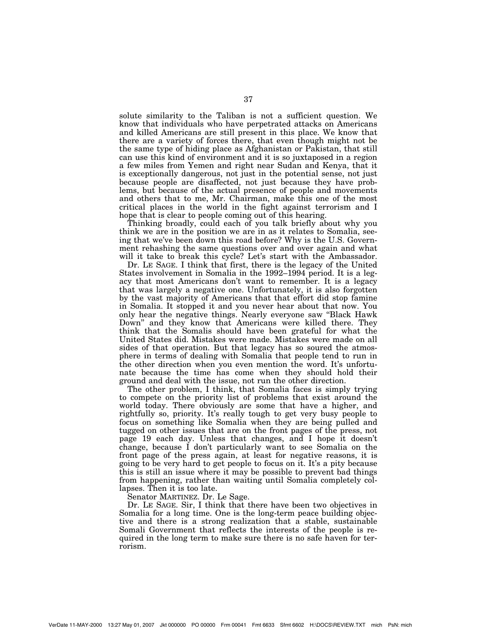solute similarity to the Taliban is not a sufficient question. We know that individuals who have perpetrated attacks on Americans and killed Americans are still present in this place. We know that there are a variety of forces there, that even though might not be the same type of hiding place as Afghanistan or Pakistan, that still can use this kind of environment and it is so juxtaposed in a region a few miles from Yemen and right near Sudan and Kenya, that it is exceptionally dangerous, not just in the potential sense, not just because people are disaffected, not just because they have problems, but because of the actual presence of people and movements and others that to me, Mr. Chairman, make this one of the most critical places in the world in the fight against terrorism and I hope that is clear to people coming out of this hearing.

Thinking broadly, could each of you talk briefly about why you think we are in the position we are in as it relates to Somalia, seeing that we've been down this road before? Why is the U.S. Government rehashing the same questions over and over again and what will it take to break this cycle? Let's start with the Ambassador.

Dr. LE SAGE. I think that first, there is the legacy of the United States involvement in Somalia in the 1992–1994 period. It is a legacy that most Americans don't want to remember. It is a legacy that was largely a negative one. Unfortunately, it is also forgotten by the vast majority of Americans that that effort did stop famine in Somalia. It stopped it and you never hear about that now. You only hear the negative things. Nearly everyone saw ''Black Hawk Down'' and they know that Americans were killed there. They think that the Somalis should have been grateful for what the United States did. Mistakes were made. Mistakes were made on all sides of that operation. But that legacy has so soured the atmosphere in terms of dealing with Somalia that people tend to run in the other direction when you even mention the word. It's unfortunate because the time has come when they should hold their ground and deal with the issue, not run the other direction.

The other problem, I think, that Somalia faces is simply trying to compete on the priority list of problems that exist around the world today. There obviously are some that have a higher, and rightfully so, priority. It's really tough to get very busy people to focus on something like Somalia when they are being pulled and tugged on other issues that are on the front pages of the press, not page 19 each day. Unless that changes, and I hope it doesn't change, because I don't particularly want to see Somalia on the front page of the press again, at least for negative reasons, it is going to be very hard to get people to focus on it. It's a pity because this is still an issue where it may be possible to prevent bad things from happening, rather than waiting until Somalia completely collapses. Then it is too late.

Senator MARTINEZ. Dr. Le Sage.

Dr. LE SAGE. Sir, I think that there have been two objectives in Somalia for a long time. One is the long-term peace building objective and there is a strong realization that a stable, sustainable Somali Government that reflects the interests of the people is required in the long term to make sure there is no safe haven for terrorism.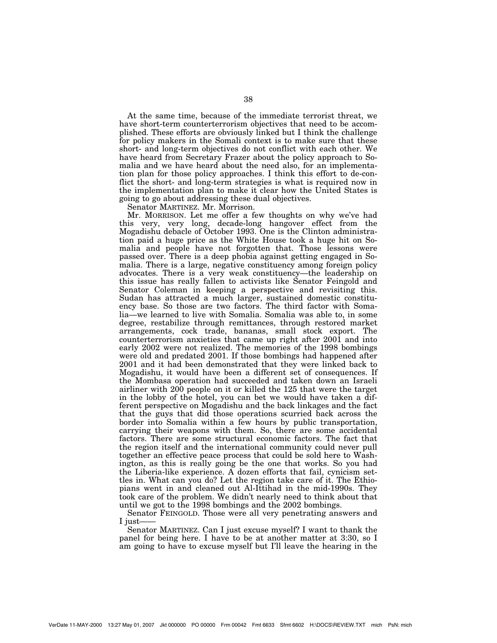At the same time, because of the immediate terrorist threat, we have short-term counterterrorism objectives that need to be accomplished. These efforts are obviously linked but I think the challenge for policy makers in the Somali context is to make sure that these short- and long-term objectives do not conflict with each other. We have heard from Secretary Frazer about the policy approach to Somalia and we have heard about the need also, for an implementation plan for those policy approaches. I think this effort to de-conflict the short- and long-term strategies is what is required now in the implementation plan to make it clear how the United States is going to go about addressing these dual objectives.

Senator MARTINEZ. Mr. Morrison.

Mr. MORRISON. Let me offer a few thoughts on why we've had this very, very long, decade-long hangover effect from the Mogadishu debacle of October 1993. One is the Clinton administration paid a huge price as the White House took a huge hit on Somalia and people have not forgotten that. Those lessons were passed over. There is a deep phobia against getting engaged in Somalia. There is a large, negative constituency among foreign policy advocates. There is a very weak constituency—the leadership on this issue has really fallen to activists like Senator Feingold and Senator Coleman in keeping a perspective and revisiting this. Sudan has attracted a much larger, sustained domestic constituency base. So those are two factors. The third factor with Somalia—we learned to live with Somalia. Somalia was able to, in some degree, restabilize through remittances, through restored market arrangements, cock trade, bananas, small stock export. The counterterrorism anxieties that came up right after 2001 and into early 2002 were not realized. The memories of the 1998 bombings were old and predated 2001. If those bombings had happened after 2001 and it had been demonstrated that they were linked back to Mogadishu, it would have been a different set of consequences. If the Mombasa operation had succeeded and taken down an Israeli airliner with 200 people on it or killed the 125 that were the target in the lobby of the hotel, you can bet we would have taken a different perspective on Mogadishu and the back linkages and the fact that the guys that did those operations scurried back across the border into Somalia within a few hours by public transportation, carrying their weapons with them. So, there are some accidental factors. There are some structural economic factors. The fact that the region itself and the international community could never pull together an effective peace process that could be sold here to Washington, as this is really going be the one that works. So you had the Liberia-like experience. A dozen efforts that fail, cynicism settles in. What can you do? Let the region take care of it. The Ethiopians went in and cleaned out Al-Ittihad in the mid-1990s. They took care of the problem. We didn't nearly need to think about that until we got to the 1998 bombings and the 2002 bombings.

Senator FEINGOLD. Those were all very penetrating answers and I just-

Senator MARTINEZ. Can I just excuse myself? I want to thank the panel for being here. I have to be at another matter at 3:30, so I am going to have to excuse myself but I'll leave the hearing in the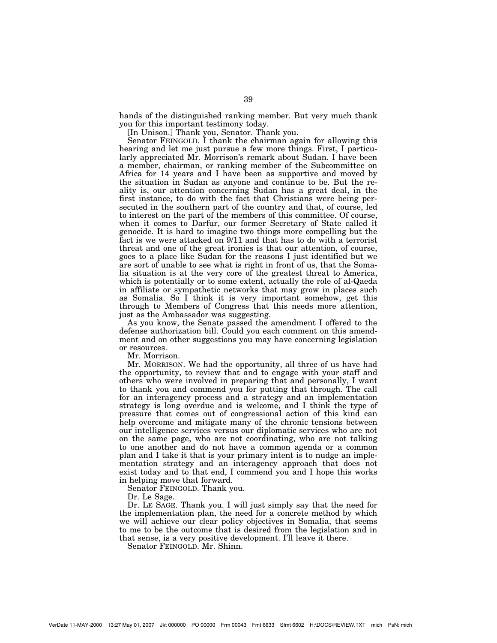hands of the distinguished ranking member. But very much thank you for this important testimony today.

[In Unison.] Thank you, Senator. Thank you.

Senator FEINGOLD. I thank the chairman again for allowing this hearing and let me just pursue a few more things. First, I particularly appreciated Mr. Morrison's remark about Sudan. I have been a member, chairman, or ranking member of the Subcommittee on Africa for 14 years and I have been as supportive and moved by the situation in Sudan as anyone and continue to be. But the reality is, our attention concerning Sudan has a great deal, in the first instance, to do with the fact that Christians were being persecuted in the southern part of the country and that, of course, led to interest on the part of the members of this committee. Of course, when it comes to Darfur, our former Secretary of State called it genocide. It is hard to imagine two things more compelling but the fact is we were attacked on 9/11 and that has to do with a terrorist threat and one of the great ironies is that our attention, of course, goes to a place like Sudan for the reasons I just identified but we are sort of unable to see what is right in front of us, that the Somalia situation is at the very core of the greatest threat to America, which is potentially or to some extent, actually the role of al-Qaeda in affiliate or sympathetic networks that may grow in places such as Somalia. So I think it is very important somehow, get this through to Members of Congress that this needs more attention, just as the Ambassador was suggesting.

As you know, the Senate passed the amendment I offered to the defense authorization bill. Could you each comment on this amendment and on other suggestions you may have concerning legislation or resources.

Mr. Morrison.

Mr. MORRISON. We had the opportunity, all three of us have had the opportunity, to review that and to engage with your staff and others who were involved in preparing that and personally, I want to thank you and commend you for putting that through. The call for an interagency process and a strategy and an implementation strategy is long overdue and is welcome, and I think the type of pressure that comes out of congressional action of this kind can help overcome and mitigate many of the chronic tensions between our intelligence services versus our diplomatic services who are not on the same page, who are not coordinating, who are not talking to one another and do not have a common agenda or a common plan and I take it that is your primary intent is to nudge an implementation strategy and an interagency approach that does not exist today and to that end, I commend you and I hope this works in helping move that forward.

Senator FEINGOLD. Thank you.

Dr. Le Sage.

Dr. LE SAGE. Thank you. I will just simply say that the need for the implementation plan, the need for a concrete method by which we will achieve our clear policy objectives in Somalia, that seems to me to be the outcome that is desired from the legislation and in that sense, is a very positive development. I'll leave it there.

Senator FEINGOLD. Mr. Shinn.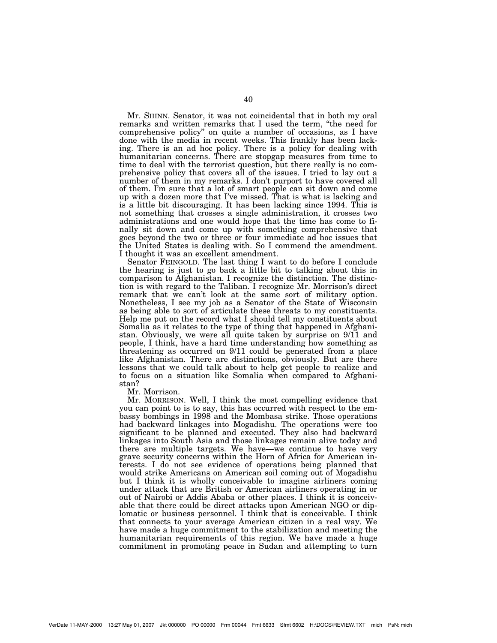Mr. SHINN. Senator, it was not coincidental that in both my oral remarks and written remarks that I used the term, ''the need for comprehensive policy'' on quite a number of occasions, as I have done with the media in recent weeks. This frankly has been lacking. There is an ad hoc policy. There is a policy for dealing with humanitarian concerns. There are stopgap measures from time to time to deal with the terrorist question, but there really is no comprehensive policy that covers all of the issues. I tried to lay out a number of them in my remarks. I don't purport to have covered all of them. I'm sure that a lot of smart people can sit down and come up with a dozen more that I've missed. That is what is lacking and is a little bit discouraging. It has been lacking since 1994. This is not something that crosses a single administration, it crosses two administrations and one would hope that the time has come to finally sit down and come up with something comprehensive that goes beyond the two or three or four immediate ad hoc issues that the United States is dealing with. So I commend the amendment. I thought it was an excellent amendment.

Senator FEINGOLD. The last thing I want to do before I conclude the hearing is just to go back a little bit to talking about this in comparison to Afghanistan. I recognize the distinction. The distinction is with regard to the Taliban. I recognize Mr. Morrison's direct remark that we can't look at the same sort of military option. Nonetheless, I see my job as a Senator of the State of Wisconsin as being able to sort of articulate these threats to my constituents. Help me put on the record what I should tell my constituents about Somalia as it relates to the type of thing that happened in Afghanistan. Obviously, we were all quite taken by surprise on 9/11 and people, I think, have a hard time understanding how something as threatening as occurred on 9/11 could be generated from a place like Afghanistan. There are distinctions, obviously. But are there lessons that we could talk about to help get people to realize and to focus on a situation like Somalia when compared to Afghanistan?

Mr. Morrison.

Mr. MORRISON. Well, I think the most compelling evidence that you can point to is to say, this has occurred with respect to the embassy bombings in 1998 and the Mombasa strike. Those operations had backward linkages into Mogadishu. The operations were too significant to be planned and executed. They also had backward linkages into South Asia and those linkages remain alive today and there are multiple targets. We have—we continue to have very grave security concerns within the Horn of Africa for American interests. I do not see evidence of operations being planned that would strike Americans on American soil coming out of Mogadishu but I think it is wholly conceivable to imagine airliners coming under attack that are British or American airliners operating in or out of Nairobi or Addis Ababa or other places. I think it is conceivable that there could be direct attacks upon American NGO or diplomatic or business personnel. I think that is conceivable. I think that connects to your average American citizen in a real way. We have made a huge commitment to the stabilization and meeting the humanitarian requirements of this region. We have made a huge commitment in promoting peace in Sudan and attempting to turn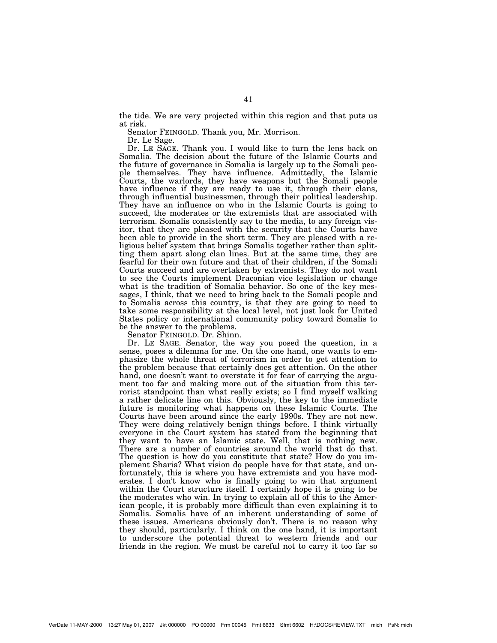the tide. We are very projected within this region and that puts us at risk.

Senator FEINGOLD. Thank you, Mr. Morrison.

Dr. Le Sage.

Dr. LE SAGE. Thank you. I would like to turn the lens back on Somalia. The decision about the future of the Islamic Courts and the future of governance in Somalia is largely up to the Somali people themselves. They have influence. Admittedly, the Islamic Courts, the warlords, they have weapons but the Somali people have influence if they are ready to use it, through their clans, through influential businessmen, through their political leadership. They have an influence on who in the Islamic Courts is going to succeed, the moderates or the extremists that are associated with terrorism. Somalis consistently say to the media, to any foreign visitor, that they are pleased with the security that the Courts have been able to provide in the short term. They are pleased with a religious belief system that brings Somalis together rather than splitting them apart along clan lines. But at the same time, they are fearful for their own future and that of their children, if the Somali Courts succeed and are overtaken by extremists. They do not want to see the Courts implement Draconian vice legislation or change what is the tradition of Somalia behavior. So one of the key messages, I think, that we need to bring back to the Somali people and to Somalis across this country, is that they are going to need to take some responsibility at the local level, not just look for United States policy or international community policy toward Somalis to be the answer to the problems.

Senator FEINGOLD. Dr. Shinn.

Dr. LE SAGE. Senator, the way you posed the question, in a sense, poses a dilemma for me. On the one hand, one wants to emphasize the whole threat of terrorism in order to get attention to the problem because that certainly does get attention. On the other hand, one doesn't want to overstate it for fear of carrying the argument too far and making more out of the situation from this terrorist standpoint than what really exists; so I find myself walking a rather delicate line on this. Obviously, the key to the immediate future is monitoring what happens on these Islamic Courts. The Courts have been around since the early 1990s. They are not new. They were doing relatively benign things before. I think virtually everyone in the Court system has stated from the beginning that they want to have an Islamic state. Well, that is nothing new. There are a number of countries around the world that do that. The question is how do you constitute that state? How do you implement Sharia? What vision do people have for that state, and unfortunately, this is where you have extremists and you have moderates. I don't know who is finally going to win that argument within the Court structure itself. I certainly hope it is going to be the moderates who win. In trying to explain all of this to the American people, it is probably more difficult than even explaining it to Somalis. Somalis have of an inherent understanding of some of these issues. Americans obviously don't. There is no reason why they should, particularly. I think on the one hand, it is important to underscore the potential threat to western friends and our friends in the region. We must be careful not to carry it too far so